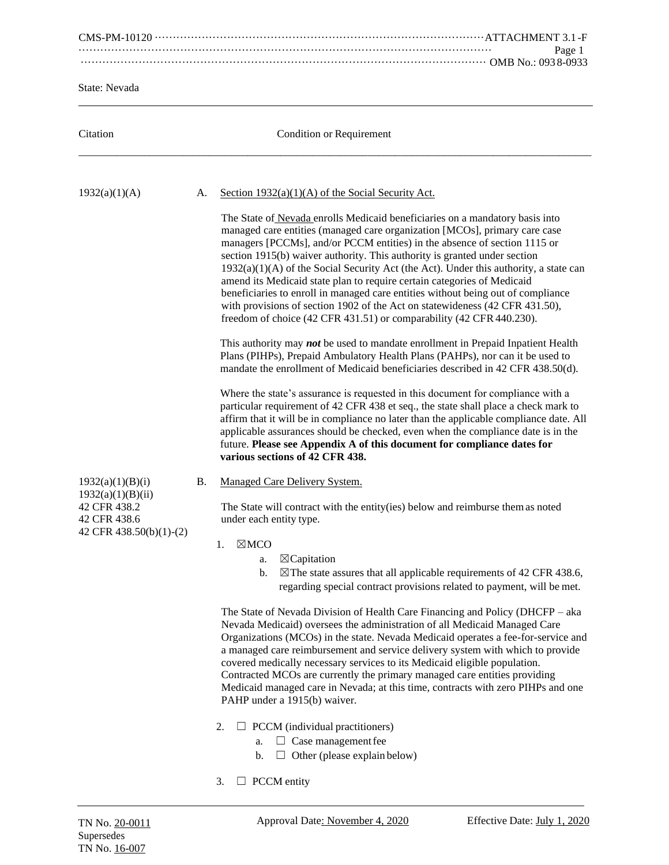|                                                                                                  | Page 1                                                                                                                                                                                                                                                                                                                                                                                                                                                                                                                                                                                                                                                                                                                                                                                                                                                                                                                                                                                                                                                                                                                                                                                                                                                                                                                                                                                                                                                               |
|--------------------------------------------------------------------------------------------------|----------------------------------------------------------------------------------------------------------------------------------------------------------------------------------------------------------------------------------------------------------------------------------------------------------------------------------------------------------------------------------------------------------------------------------------------------------------------------------------------------------------------------------------------------------------------------------------------------------------------------------------------------------------------------------------------------------------------------------------------------------------------------------------------------------------------------------------------------------------------------------------------------------------------------------------------------------------------------------------------------------------------------------------------------------------------------------------------------------------------------------------------------------------------------------------------------------------------------------------------------------------------------------------------------------------------------------------------------------------------------------------------------------------------------------------------------------------------|
|                                                                                                  |                                                                                                                                                                                                                                                                                                                                                                                                                                                                                                                                                                                                                                                                                                                                                                                                                                                                                                                                                                                                                                                                                                                                                                                                                                                                                                                                                                                                                                                                      |
| State: Nevada                                                                                    |                                                                                                                                                                                                                                                                                                                                                                                                                                                                                                                                                                                                                                                                                                                                                                                                                                                                                                                                                                                                                                                                                                                                                                                                                                                                                                                                                                                                                                                                      |
| Citation                                                                                         | Condition or Requirement                                                                                                                                                                                                                                                                                                                                                                                                                                                                                                                                                                                                                                                                                                                                                                                                                                                                                                                                                                                                                                                                                                                                                                                                                                                                                                                                                                                                                                             |
| 1932(a)(1)(A)                                                                                    | Section $1932(a)(1)(A)$ of the Social Security Act.<br>А.                                                                                                                                                                                                                                                                                                                                                                                                                                                                                                                                                                                                                                                                                                                                                                                                                                                                                                                                                                                                                                                                                                                                                                                                                                                                                                                                                                                                            |
|                                                                                                  | The State of Nevada enrolls Medicaid beneficiaries on a mandatory basis into<br>managed care entities (managed care organization [MCOs], primary care case<br>managers [PCCMs], and/or PCCM entities) in the absence of section 1115 or<br>section 1915(b) waiver authority. This authority is granted under section<br>$1932(a)(1)(A)$ of the Social Security Act (the Act). Under this authority, a state can<br>amend its Medicaid state plan to require certain categories of Medicaid<br>beneficiaries to enroll in managed care entities without being out of compliance<br>with provisions of section 1902 of the Act on statewideness (42 CFR 431.50),<br>freedom of choice (42 CFR 431.51) or comparability (42 CFR 440.230).<br>This authority may not be used to mandate enrollment in Prepaid Inpatient Health<br>Plans (PIHPs), Prepaid Ambulatory Health Plans (PAHPs), nor can it be used to<br>mandate the enrollment of Medicaid beneficiaries described in 42 CFR 438.50(d).<br>Where the state's assurance is requested in this document for compliance with a<br>particular requirement of 42 CFR 438 et seq., the state shall place a check mark to<br>affirm that it will be in compliance no later than the applicable compliance date. All<br>applicable assurances should be checked, even when the compliance date is in the<br>future. Please see Appendix A of this document for compliance dates for<br>various sections of 42 CFR 438. |
| 1932(a)(1)(B)(i)<br>1932(a)(1)(B)(ii)<br>42 CFR 438.2<br>42 CFR 438.6<br>42 CFR 438.50(b)(1)-(2) | Managed Care Delivery System.<br>В.<br>The State will contract with the entity(ies) below and reimburse them as noted<br>under each entity type.<br>$\boxtimes$ MCO<br>1.<br>$\boxtimes$ Capitation<br>a.<br>b.<br>$\boxtimes$ The state assures that all applicable requirements of 42 CFR 438.6,<br>regarding special contract provisions related to payment, will be met.<br>The State of Nevada Division of Health Care Financing and Policy (DHCFP – aka<br>Nevada Medicaid) oversees the administration of all Medicaid Managed Care<br>Organizations (MCOs) in the state. Nevada Medicaid operates a fee-for-service and<br>a managed care reimbursement and service delivery system with which to provide<br>covered medically necessary services to its Medicaid eligible population.<br>Contracted MCOs are currently the primary managed care entities providing<br>Medicaid managed care in Nevada; at this time, contracts with zero PIHPs and one<br>PAHP under a 1915(b) waiver.<br>2.<br>$\Box$ PCCM (individual practitioners)<br>$\Box$ Case management fee<br>a.<br>Other (please explain below)<br>b.<br>ப<br>$\Box$ PCCM entity<br>3.                                                                                                                                                                                                                                                                                                           |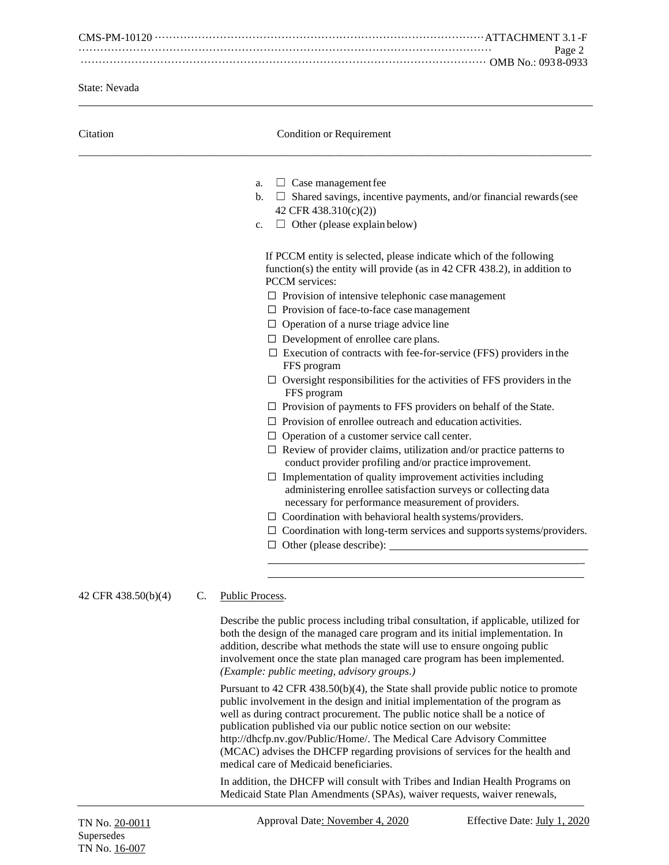CMS-PM-10120 ···························································································ATTACHMENT 3.1 -F ·················································································································· Page 2 ················································································································ OMB No.: 093 8-0933

State: Nevada

| Citation            | Condition or Requirement                                                                                                                                                                                                                                                                                                                                                                                                                                                                                                                                                                                                                                                                                                                                                                                                                                                                                                                                                                                                                                                                                                                                                                                                                                                                                               |
|---------------------|------------------------------------------------------------------------------------------------------------------------------------------------------------------------------------------------------------------------------------------------------------------------------------------------------------------------------------------------------------------------------------------------------------------------------------------------------------------------------------------------------------------------------------------------------------------------------------------------------------------------------------------------------------------------------------------------------------------------------------------------------------------------------------------------------------------------------------------------------------------------------------------------------------------------------------------------------------------------------------------------------------------------------------------------------------------------------------------------------------------------------------------------------------------------------------------------------------------------------------------------------------------------------------------------------------------------|
|                     | $\Box$ Case management fee<br>a.<br>$\Box$ Shared savings, incentive payments, and/or financial rewards (see<br>b.<br>42 CFR 438.310(c)(2))<br>$\Box$ Other (please explain below)<br>c.                                                                                                                                                                                                                                                                                                                                                                                                                                                                                                                                                                                                                                                                                                                                                                                                                                                                                                                                                                                                                                                                                                                               |
|                     | If PCCM entity is selected, please indicate which of the following<br>function(s) the entity will provide (as in $42$ CFR $438.2$ ), in addition to<br>PCCM services:<br>$\Box$ Provision of intensive telephonic case management<br>$\Box$ Provision of face-to-face case management<br>$\Box$ Operation of a nurse triage advice line<br>$\Box$ Development of enrollee care plans.<br>$\square$ Execution of contracts with fee-for-service (FFS) providers in the<br>FFS program<br>$\Box$ Oversight responsibilities for the activities of FFS providers in the<br>FFS program<br>$\Box$ Provision of payments to FFS providers on behalf of the State.<br>$\Box$ Provision of enrollee outreach and education activities.<br>$\Box$ Operation of a customer service call center.<br>$\Box$ Review of provider claims, utilization and/or practice patterns to<br>conduct provider profiling and/or practice improvement.<br>$\Box$ Implementation of quality improvement activities including<br>administering enrollee satisfaction surveys or collecting data<br>necessary for performance measurement of providers.<br>$\Box$ Coordination with behavioral health systems/providers.<br>$\Box$ Coordination with long-term services and supports systems/providers.<br>$\Box$ Other (please describe): $\Box$ |
| 42 CFR 438.50(b)(4) | $\mathcal{C}_{\cdot}$<br><b>Public Process</b>                                                                                                                                                                                                                                                                                                                                                                                                                                                                                                                                                                                                                                                                                                                                                                                                                                                                                                                                                                                                                                                                                                                                                                                                                                                                         |
|                     | Describe the public process including tribal consultation, if applicable, utilized for<br>both the design of the managed care program and its initial implementation. In<br>addition, describe what methods the state will use to ensure ongoing public<br>involvement once the state plan managed care program has been implemented.<br>(Example: public meeting, advisory groups.)                                                                                                                                                                                                                                                                                                                                                                                                                                                                                                                                                                                                                                                                                                                                                                                                                                                                                                                                   |
|                     | Durated to 42 CED 429 $50(b)(4)$ the State shall provide public potice to promote                                                                                                                                                                                                                                                                                                                                                                                                                                                                                                                                                                                                                                                                                                                                                                                                                                                                                                                                                                                                                                                                                                                                                                                                                                      |

Pursuant to 42 CFR 438.50(b)(4), the State shall provide public notice to promote public involvement in the design and initial implementation of the program as well as during contract procurement. The public notice shall be a notice of publication published via our public notice section on our website: http://dhcfp.nv.gov/Public/Home/. The Medical Care Advisory Committee (MCAC) advises the DHCFP regarding provisions of services for the health and medical care of Medicaid beneficiaries.

In addition, the DHCFP will consult with Tribes and Indian Health Programs on Medicaid State Plan Amendments (SPAs), waiver requests, waiver renewals,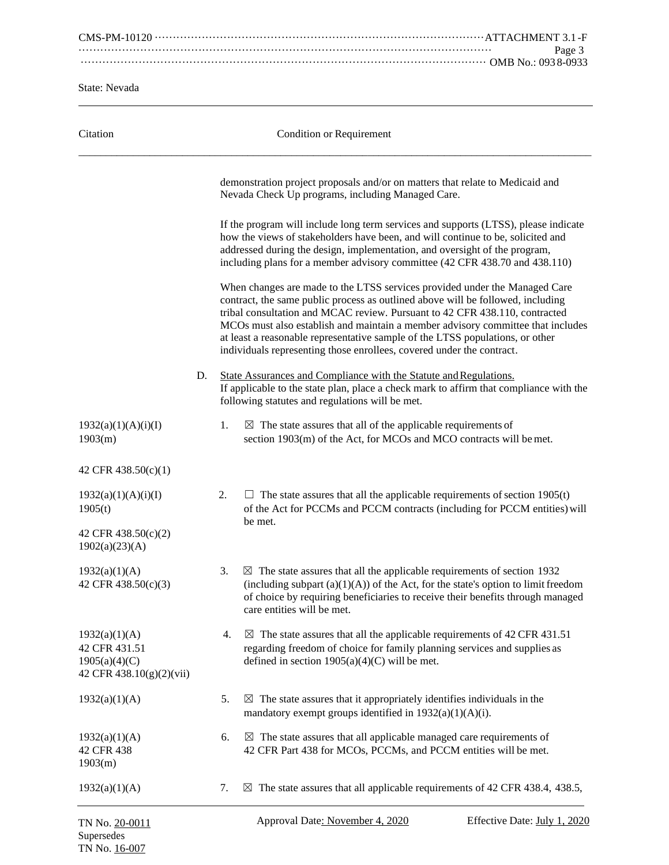CMS-PM-10120 ···························································································ATTACHMENT 3.1 -F ·················································································································· Page 3 ················································································································ OMB No.: 093 8-0933

State: Nevada

TN No. 16-007

| Citation                                                                    |    |    | <b>Condition or Requirement</b>                                                                                                                                                                                                                                                                                                                                                                                                                                                           |
|-----------------------------------------------------------------------------|----|----|-------------------------------------------------------------------------------------------------------------------------------------------------------------------------------------------------------------------------------------------------------------------------------------------------------------------------------------------------------------------------------------------------------------------------------------------------------------------------------------------|
|                                                                             |    |    | demonstration project proposals and/or on matters that relate to Medicaid and<br>Nevada Check Up programs, including Managed Care.                                                                                                                                                                                                                                                                                                                                                        |
|                                                                             |    |    | If the program will include long term services and supports (LTSS), please indicate<br>how the views of stakeholders have been, and will continue to be, solicited and<br>addressed during the design, implementation, and oversight of the program,<br>including plans for a member advisory committee (42 CFR 438.70 and 438.110)                                                                                                                                                       |
|                                                                             |    |    | When changes are made to the LTSS services provided under the Managed Care<br>contract, the same public process as outlined above will be followed, including<br>tribal consultation and MCAC review. Pursuant to 42 CFR 438.110, contracted<br>MCOs must also establish and maintain a member advisory committee that includes<br>at least a reasonable representative sample of the LTSS populations, or other<br>individuals representing those enrollees, covered under the contract. |
|                                                                             | D. |    | State Assurances and Compliance with the Statute and Regulations.<br>If applicable to the state plan, place a check mark to affirm that compliance with the<br>following statutes and regulations will be met.                                                                                                                                                                                                                                                                            |
| 1932(a)(1)(A)(i)(I)<br>1903(m)                                              |    | 1. | $\boxtimes$ The state assures that all of the applicable requirements of<br>section 1903(m) of the Act, for MCOs and MCO contracts will be met.                                                                                                                                                                                                                                                                                                                                           |
| 42 CFR 438.50(c)(1)                                                         |    |    |                                                                                                                                                                                                                                                                                                                                                                                                                                                                                           |
| 1932(a)(1)(A)(i)(I)<br>1905(t)<br>42 CFR 438.50(c)(2)<br>1902(a)(23)(A)     |    | 2. | $\Box$ The state assures that all the applicable requirements of section 1905(t)<br>of the Act for PCCMs and PCCM contracts (including for PCCM entities) will<br>be met.                                                                                                                                                                                                                                                                                                                 |
| 1932(a)(1)(A)<br>42 CFR 438.50(c)(3)                                        |    | 3. | $\boxtimes$ The state assures that all the applicable requirements of section 1932<br>(including subpart $(a)(1)(A)$ ) of the Act, for the state's option to limit freedom<br>of choice by requiring beneficiaries to receive their benefits through managed<br>care entities will be met.                                                                                                                                                                                                |
| 1932(a)(1)(A)<br>42 CFR 431.51<br>1905(a)(4)(C)<br>42 CFR 438.10(g)(2)(vii) |    | 4. | $\boxtimes$ The state assures that all the applicable requirements of 42 CFR 431.51<br>regarding freedom of choice for family planning services and supplies as<br>defined in section $1905(a)(4)(C)$ will be met.                                                                                                                                                                                                                                                                        |
| 1932(a)(1)(A)                                                               |    | 5. | $\boxtimes$ The state assures that it appropriately identifies individuals in the<br>mandatory exempt groups identified in $1932(a)(1)(A)(i)$ .                                                                                                                                                                                                                                                                                                                                           |
| 1932(a)(1)(A)<br>42 CFR 438<br>1903(m)                                      |    | 6. | $\boxtimes$ The state assures that all applicable managed care requirements of<br>42 CFR Part 438 for MCOs, PCCMs, and PCCM entities will be met.                                                                                                                                                                                                                                                                                                                                         |
| 1932(a)(1)(A)                                                               |    | 7. | $\boxtimes$ The state assures that all applicable requirements of 42 CFR 438.4, 438.5,                                                                                                                                                                                                                                                                                                                                                                                                    |
| TN No. 20-0011<br>Supersedes                                                |    |    | Approval Date: November 4, 2020<br>Effective Date: July 1, 2020                                                                                                                                                                                                                                                                                                                                                                                                                           |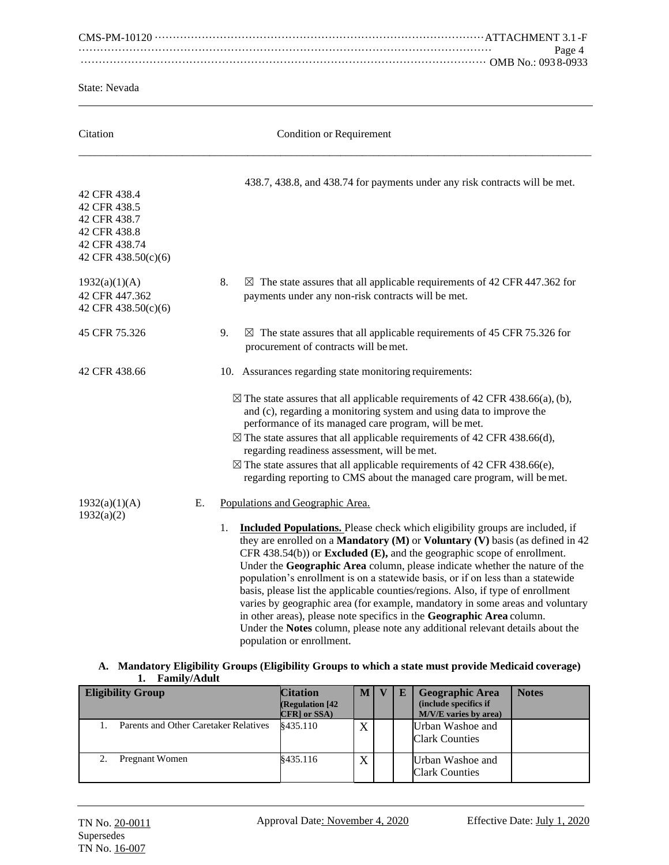CMS-PM-10120 ···························································································ATTACHMENT 3.1 -F ·················································································································· Page 4 ················································································································ OMB No.: 093 8-0933

State: Nevada

| Citation                                                                                             |    |    | <b>Condition or Requirement</b>                                                                                                                                                                                                                                                                                                                                                                                                                                                                                                                                                                                                                                                                                                                                                                                                                        |
|------------------------------------------------------------------------------------------------------|----|----|--------------------------------------------------------------------------------------------------------------------------------------------------------------------------------------------------------------------------------------------------------------------------------------------------------------------------------------------------------------------------------------------------------------------------------------------------------------------------------------------------------------------------------------------------------------------------------------------------------------------------------------------------------------------------------------------------------------------------------------------------------------------------------------------------------------------------------------------------------|
| 42 CFR 438.4<br>42 CFR 438.5<br>42 CFR 438.7<br>42 CFR 438.8<br>42 CFR 438.74<br>42 CFR 438.50(c)(6) |    |    | 438.7, 438.8, and 438.74 for payments under any risk contracts will be met.                                                                                                                                                                                                                                                                                                                                                                                                                                                                                                                                                                                                                                                                                                                                                                            |
| 1932(a)(1)(A)<br>42 CFR 447.362<br>42 CFR 438.50(c)(6)                                               |    | 8. | $\boxtimes$ The state assures that all applicable requirements of 42 CFR 447.362 for<br>payments under any non-risk contracts will be met.                                                                                                                                                                                                                                                                                                                                                                                                                                                                                                                                                                                                                                                                                                             |
| 45 CFR 75.326                                                                                        |    | 9. | $\boxtimes$ The state assures that all applicable requirements of 45 CFR 75.326 for<br>procurement of contracts will be met.                                                                                                                                                                                                                                                                                                                                                                                                                                                                                                                                                                                                                                                                                                                           |
| 42 CFR 438.66                                                                                        |    |    | 10. Assurances regarding state monitoring requirements:<br>$\boxtimes$ The state assures that all applicable requirements of 42 CFR 438.66(a), (b),<br>and (c), regarding a monitoring system and using data to improve the<br>performance of its managed care program, will be met.<br>$\boxtimes$ The state assures that all applicable requirements of 42 CFR 438.66(d),<br>regarding readiness assessment, will be met.<br>$\boxtimes$ The state assures that all applicable requirements of 42 CFR 438.66(e),<br>regarding reporting to CMS about the managed care program, will be met.                                                                                                                                                                                                                                                          |
| 1932(a)(1)(A)<br>1932(a)(2)                                                                          | Е. | 1. | Populations and Geographic Area.<br><b>Included Populations.</b> Please check which eligibility groups are included, if<br>they are enrolled on a <b>Mandatory</b> ( $M$ ) or <b>Voluntary</b> ( $V$ ) basis (as defined in 42<br>CFR 438.54(b)) or <b>Excluded</b> ( <b>E</b> ), and the geographic scope of enrollment.<br>Under the Geographic Area column, please indicate whether the nature of the<br>population's enrollment is on a statewide basis, or if on less than a statewide<br>basis, please list the applicable counties/regions. Also, if type of enrollment<br>varies by geographic area (for example, mandatory in some areas and voluntary<br>in other areas), please note specifics in the Geographic Area column.<br>Under the Notes column, please note any additional relevant details about the<br>population or enrollment. |

### **A. Mandatory Eligibility Groups (Eligibility Groups to which a state must provide Medicaid coverage) 1. Family/Adult**

| <b>Eligibility Group</b>              | <b>Citation</b><br>(Regulation [42]<br><b>CFR</b> or SSA | M <sub>1</sub> | E | <b>Geographic Area</b><br>(include specifics if<br>M/V/E varies by area) | <b>Notes</b> |
|---------------------------------------|----------------------------------------------------------|----------------|---|--------------------------------------------------------------------------|--------------|
| Parents and Other Caretaker Relatives | \$435.110                                                | X              |   | Urban Washoe and<br><b>Clark Counties</b>                                |              |
| Pregnant Women                        | \$435.116                                                | X              |   | Urban Washoe and<br><b>Clark Counties</b>                                |              |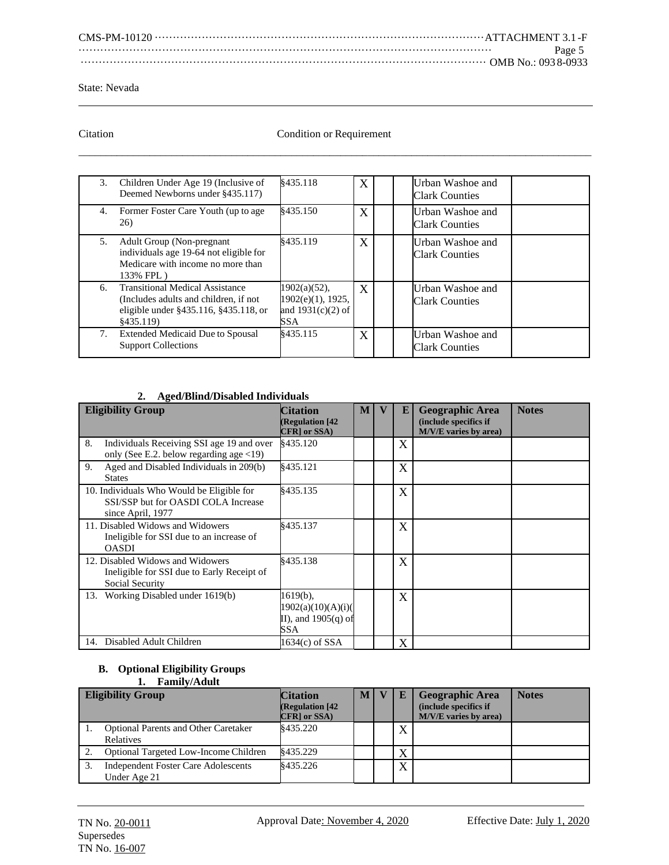CMS-PM-10120 ···························································································ATTACHMENT 3.1 -F ·················································································································· Page 5 ················································································································ OMB No.: 093 8-0933

#### State: Nevada

# Citation Citation Condition or Requirement  $\overline{a_1}$  ,  $\overline{a_2}$  ,  $\overline{a_3}$  ,  $\overline{a_4}$  ,  $\overline{a_5}$  ,  $\overline{a_6}$  ,  $\overline{a_7}$  ,  $\overline{a_8}$  ,  $\overline{a_9}$  ,  $\overline{a_9}$  ,  $\overline{a_9}$  ,  $\overline{a_9}$  ,  $\overline{a_9}$  ,  $\overline{a_9}$  ,  $\overline{a_9}$  ,  $\overline{a_9}$  ,  $\overline{a_9}$  ,

|    | 3. Children Under Age 19 (Inclusive of<br>Deemed Newborns under §435.117)                                                            | 8435.118                                                              | X | Urban Washoe and<br><b>Clark Counties</b> |  |
|----|--------------------------------------------------------------------------------------------------------------------------------------|-----------------------------------------------------------------------|---|-------------------------------------------|--|
|    | 4. Former Foster Care Youth (up to age<br>26)                                                                                        | §435.150                                                              | X | Urban Washoe and<br><b>Clark Counties</b> |  |
| 5. | <b>Adult Group (Non-pregnant</b><br>individuals age 19-64 not eligible for<br>Medicare with income no more than<br>133% FPL)         | \$435.119                                                             | X | Urban Washoe and<br>Clark Counties        |  |
| 6. | <b>Transitional Medical Assistance</b><br>(Includes adults and children, if not<br>eligible under §435.116, §435.118, or<br>§435.119 | $1902(a)(52)$ ,<br>$1902(e)(1)$ , 1925,<br>and $1931(c)(2)$ of<br>SSA | X | Urban Washoe and<br><b>Clark Counties</b> |  |
| 7. | <b>Extended Medicaid Due to Spousal</b><br><b>Support Collections</b>                                                                | \$435.115                                                             | X | Urban Washoe and<br><b>Clark Counties</b> |  |

# **2. Aged/Blind/Disabled Individuals**

| <b>Eligibility Group</b>                                                                                     | <b>Citation</b><br><b>(Regulation [42</b><br>CFR] or SSA)     | M | E | <b>Geographic Area</b><br>(include specifics if<br>M/V/E varies by area) | <b>Notes</b> |
|--------------------------------------------------------------------------------------------------------------|---------------------------------------------------------------|---|---|--------------------------------------------------------------------------|--------------|
| 8.<br>Individuals Receiving SSI age 19 and over<br>only (See E.2. below regarding age $\langle 19 \rangle$ ) | §435.120                                                      |   | X |                                                                          |              |
| Aged and Disabled Individuals in 209(b)<br>9.<br><b>States</b>                                               | §435.121                                                      |   | X |                                                                          |              |
| 10. Individuals Who Would be Eligible for<br>SSI/SSP but for OASDI COLA Increase<br>since April, 1977        | \$435.135                                                     |   | X |                                                                          |              |
| 11. Disabled Widows and Widowers<br>Ineligible for SSI due to an increase of<br><b>OASDI</b>                 | \$435.137                                                     |   | X |                                                                          |              |
| 12. Disabled Widows and Widowers<br>Ineligible for SSI due to Early Receipt of<br>Social Security            | \$435.138                                                     |   | X |                                                                          |              |
| 13. Working Disabled under 1619(b)                                                                           | 1619(b),<br>1902(a)(10)(A)(i)<br>II), and $1905(q)$ of<br>SSA |   | X |                                                                          |              |
| 14. Disabled Adult Children                                                                                  | 1634(c) of SSA                                                |   | X |                                                                          |              |

#### **B. Optional Eligibility Groups 1. Family/Adult**

| <b>Eligibility Group</b>                                   | <b>Citation</b><br>(Regulation [42]<br>CFR] or SSA) | M | E            | <b>Geographic Area</b><br>(include specifics if<br>M/V/E varies by area) | <b>Notes</b> |
|------------------------------------------------------------|-----------------------------------------------------|---|--------------|--------------------------------------------------------------------------|--------------|
| <b>Optional Parents and Other Caretaker</b><br>Relatives   | \$435.220                                           |   | $\Lambda$    |                                                                          |              |
| Optional Targeted Low-Income Children                      | \$435.229                                           |   |              |                                                                          |              |
| <b>Independent Foster Care Adolescents</b><br>Under Age 21 | 8435.226                                            |   | $\mathbf{x}$ |                                                                          |              |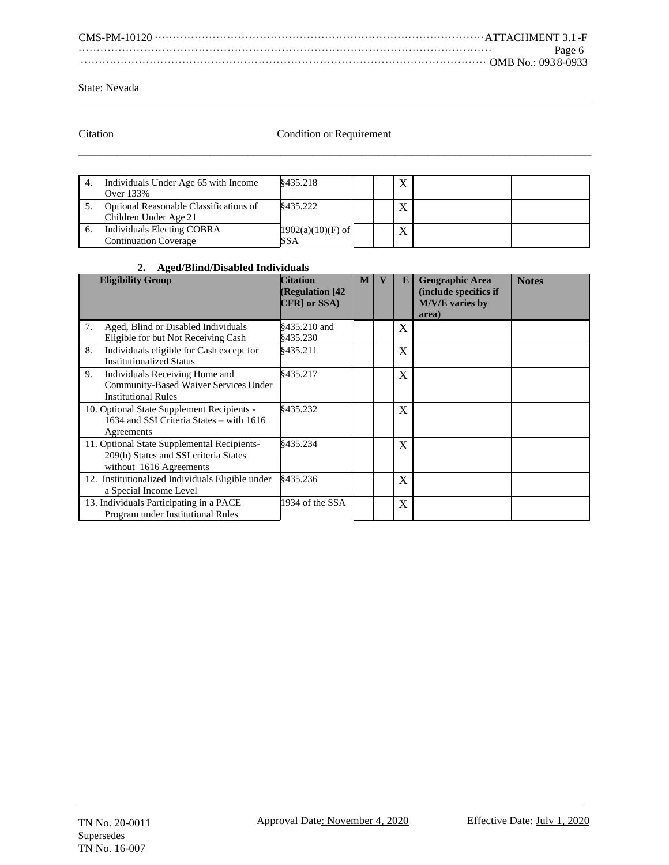CMS-PM-10120 ···························································································ATTACHMENT 3.1 -F ·················································································································· Page 6 ················································································································ OMB No.: 093 8-0933

State: Nevada

# Citation Condition or Requirement  $\overline{a_1}$  ,  $\overline{a_2}$  ,  $\overline{a_3}$  ,  $\overline{a_4}$  ,  $\overline{a_5}$  ,  $\overline{a_6}$  ,  $\overline{a_7}$  ,  $\overline{a_8}$  ,  $\overline{a_9}$  ,  $\overline{a_9}$  ,  $\overline{a_9}$  ,  $\overline{a_9}$  ,  $\overline{a_9}$  ,  $\overline{a_9}$  ,  $\overline{a_9}$  ,  $\overline{a_9}$  ,  $\overline{a_9}$  ,

| Individuals Under Age 65 with Income<br>Over 133%                 | \$435.218                  |  | $\lambda$ |  |
|-------------------------------------------------------------------|----------------------------|--|-----------|--|
| Optional Reasonable Classifications of<br>Children Under Age 21   | \$435.222                  |  |           |  |
| <b>Individuals Electing COBRA</b><br><b>Continuation Coverage</b> | $1902(a)(10)(F)$ of<br>SSA |  |           |  |

# **2. Aged/Blind/Disabled Individuals**

| <b>Eligibility Group</b>                                                                                        | <b>Citation</b><br><b>(Regulation [42)</b><br>CFR] or SSA) | M | E                         | <b>Geographic Area</b><br>(include specifics if<br>M/V/E varies by<br>area) | <b>Notes</b> |
|-----------------------------------------------------------------------------------------------------------------|------------------------------------------------------------|---|---------------------------|-----------------------------------------------------------------------------|--------------|
| 7.<br>Aged, Blind or Disabled Individuals<br>Eligible for but Not Receiving Cash                                | §435.210 and<br>\$435.230                                  |   | $\overline{\text{X}}$     |                                                                             |              |
| Individuals eligible for Cash except for<br>8.<br><b>Institutionalized Status</b>                               | \$435.211                                                  |   | $\overline{\text{X}}$     |                                                                             |              |
| 9.<br>Individuals Receiving Home and<br>Community-Based Waiver Services Under<br><b>Institutional Rules</b>     | 8435.217                                                   |   | X                         |                                                                             |              |
| 10. Optional State Supplement Recipients -<br>1634 and SSI Criteria States - with 1616<br>Agreements            | \$435.232                                                  |   | X                         |                                                                             |              |
| 11. Optional State Supplemental Recipients-<br>209(b) States and SSI criteria States<br>without 1616 Agreements | §435.234                                                   |   | $\boldsymbol{\mathrm{X}}$ |                                                                             |              |
| 12. Institutionalized Individuals Eligible under<br>a Special Income Level                                      | §435.236                                                   |   | X                         |                                                                             |              |
| 13. Individuals Participating in a PACE<br>Program under Institutional Rules                                    | 1934 of the SSA                                            |   | $\overline{\text{X}}$     |                                                                             |              |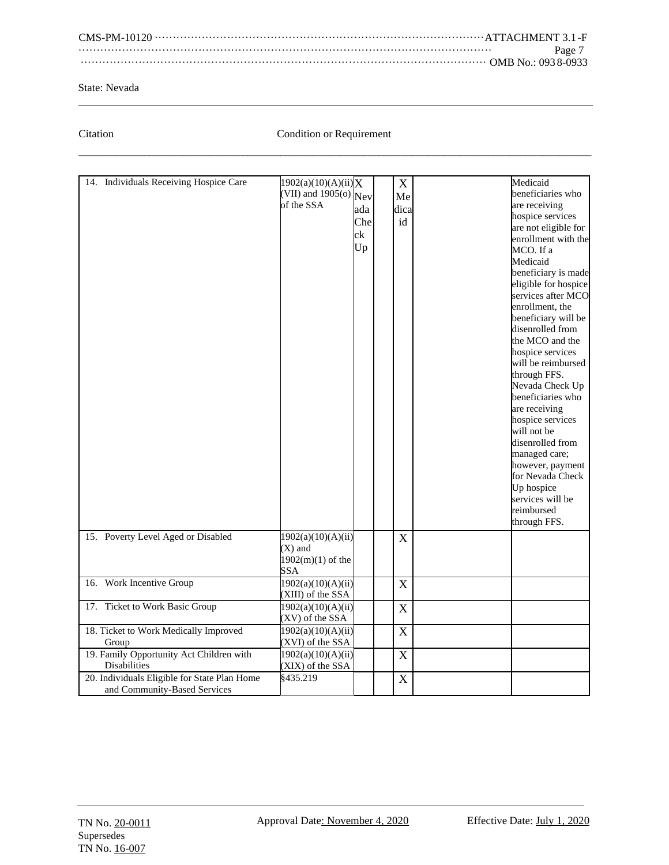CMS-PM-10120 ···························································································ATTACHMENT 3.1 -F ·················································································································· Page 7 ················································································································ OMB No.: 093 8-0933

### State: Nevada

# Citation Condition or Requirement  $\overline{a_1}$  ,  $\overline{a_2}$  ,  $\overline{a_3}$  ,  $\overline{a_4}$  ,  $\overline{a_5}$  ,  $\overline{a_6}$  ,  $\overline{a_7}$  ,  $\overline{a_8}$  ,  $\overline{a_9}$  ,  $\overline{a_9}$  ,  $\overline{a_9}$  ,  $\overline{a_9}$  ,  $\overline{a_9}$  ,  $\overline{a_9}$  ,  $\overline{a_9}$  ,  $\overline{a_9}$  ,  $\overline{a_9}$  ,

|                                              |                                |     |                           | Medicaid             |
|----------------------------------------------|--------------------------------|-----|---------------------------|----------------------|
| 14. Individuals Receiving Hospice Care       | 1902(a)(10)(A)(ii)X            |     | X                         |                      |
|                                              | (VII) and 1905(o) $\text{New}$ |     | Me                        | beneficiaries who    |
|                                              | of the SSA                     | ada | dica                      | are receiving        |
|                                              |                                | Che | id                        | hospice services     |
|                                              |                                | ck  |                           | are not eligible for |
|                                              |                                |     |                           | enrollment with the  |
|                                              |                                | Up  |                           | MCO. If a            |
|                                              |                                |     |                           | Medicaid             |
|                                              |                                |     |                           | beneficiary is made  |
|                                              |                                |     |                           | eligible for hospice |
|                                              |                                |     |                           | services after MCO   |
|                                              |                                |     |                           | enrollment, the      |
|                                              |                                |     |                           | beneficiary will be  |
|                                              |                                |     |                           | disenrolled from     |
|                                              |                                |     |                           | the MCO and the      |
|                                              |                                |     |                           | hospice services     |
|                                              |                                |     |                           | will be reimbursed   |
|                                              |                                |     |                           |                      |
|                                              |                                |     |                           | through FFS.         |
|                                              |                                |     |                           | Nevada Check Up      |
|                                              |                                |     |                           | beneficiaries who    |
|                                              |                                |     |                           | are receiving        |
|                                              |                                |     |                           | hospice services     |
|                                              |                                |     |                           | will not be          |
|                                              |                                |     |                           | disenrolled from     |
|                                              |                                |     |                           | managed care;        |
|                                              |                                |     |                           | however, payment     |
|                                              |                                |     |                           | for Nevada Check     |
|                                              |                                |     |                           | Up hospice           |
|                                              |                                |     |                           | services will be     |
|                                              |                                |     |                           | reimbursed           |
|                                              |                                |     |                           | through FFS.         |
| 15. Poverty Level Aged or Disabled           | 1902(a)(10)(A)(ii)             |     |                           |                      |
|                                              | $(X)$ and                      |     | $\boldsymbol{\mathrm{X}}$ |                      |
|                                              |                                |     |                           |                      |
|                                              | $1902(m)(1)$ of the            |     |                           |                      |
|                                              | <b>SSA</b>                     |     |                           |                      |
| 16. Work Incentive Group                     | 1902(a)(10)(A)(ii)             |     | $\mathbf X$               |                      |
|                                              | (XIII) of the SSA              |     |                           |                      |
| 17. Ticket to Work Basic Group               | 1902(a)(10)(A)(ii)             |     | $\boldsymbol{\mathrm{X}}$ |                      |
|                                              | (XV) of the SSA                |     |                           |                      |
| 18. Ticket to Work Medically Improved        | 1902(a)(10)(A)(ii)             |     | X                         |                      |
| Group                                        | (XVI) of the SSA               |     |                           |                      |
| 19. Family Opportunity Act Children with     | 1902(a)(10)(A)(ii)             |     | $\mathbf X$               |                      |
| <b>Disabilities</b>                          | (XIX) of the SSA               |     |                           |                      |
| 20. Individuals Eligible for State Plan Home | \$435.219                      |     | $\mathbf X$               |                      |
| and Community-Based Services                 |                                |     |                           |                      |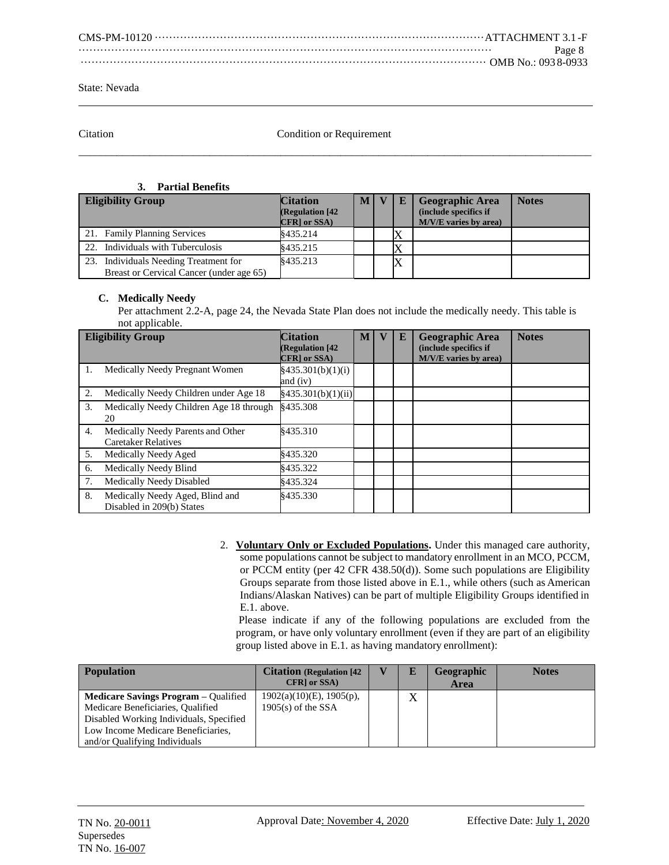| Page 8 |
|--------|
|        |

Citation Condition or Requirement  $\overline{a_1}$  ,  $\overline{a_2}$  ,  $\overline{a_3}$  ,  $\overline{a_4}$  ,  $\overline{a_5}$  ,  $\overline{a_6}$  ,  $\overline{a_7}$  ,  $\overline{a_8}$  ,  $\overline{a_9}$  ,  $\overline{a_9}$  ,  $\overline{a_9}$  ,  $\overline{a_9}$  ,  $\overline{a_9}$  ,  $\overline{a_9}$  ,  $\overline{a_9}$  ,  $\overline{a_9}$  ,  $\overline{a_9}$  ,

#### **3. Partial Benefits**

| <b>Eligibility Group</b>                                                          | <b>Citation</b><br><b>(Regulation [42]</b><br>CFR] or SSA) | M |  | <b>Geographic Area</b><br>(include specifics if<br>M/V/E varies by area) | <b>Notes</b> |
|-----------------------------------------------------------------------------------|------------------------------------------------------------|---|--|--------------------------------------------------------------------------|--------------|
| 21. Family Planning Services                                                      | 8435.214                                                   |   |  |                                                                          |              |
| 22. Individuals with Tuberculosis                                                 | \$435.215                                                  |   |  |                                                                          |              |
| 23. Individuals Needing Treatment for<br>Breast or Cervical Cancer (under age 65) | \$435.213                                                  |   |  |                                                                          |              |

# **C. Medically Needy**

Per attachment 2.2-A, page 24, the Nevada State Plan does not include the medically needy. This table is not applicable.

|    | <b>Eligibility Group</b>                                        | <b>Citation</b><br><b>(Regulation [42</b><br>CFR] or SSA) | M | E | <b>Geographic Area</b><br>(include specifics if<br>M/V/E varies by area) | <b>Notes</b> |
|----|-----------------------------------------------------------------|-----------------------------------------------------------|---|---|--------------------------------------------------------------------------|--------------|
| 1. | Medically Needy Pregnant Women                                  | §435.301(b)(1)(i)<br>and (iv)                             |   |   |                                                                          |              |
| 2. | Medically Needy Children under Age 18                           | §435.301(b)(1)(ii)                                        |   |   |                                                                          |              |
| 3. | Medically Needy Children Age 18 through<br>20                   | §435.308                                                  |   |   |                                                                          |              |
| 4. | Medically Needy Parents and Other<br><b>Caretaker Relatives</b> | 8435.310                                                  |   |   |                                                                          |              |
| 5. | Medically Needy Aged                                            | \$435.320                                                 |   |   |                                                                          |              |
| 6. | <b>Medically Needy Blind</b>                                    | \$435.322                                                 |   |   |                                                                          |              |
| 7. | <b>Medically Needy Disabled</b>                                 | \$435.324                                                 |   |   |                                                                          |              |
| 8. | Medically Needy Aged, Blind and<br>Disabled in 209(b) States    | \$435.330                                                 |   |   |                                                                          |              |

2. **Voluntary Only or Excluded Populations.** Under this managed care authority, some populations cannot be subject to mandatory enrollment in an MCO, PCCM, or PCCM entity (per 42 CFR 438.50(d)). Some such populations are Eligibility Groups separate from those listed above in E.1., while others (such as American Indians/Alaskan Natives) can be part of multiple Eligibility Groups identified in E.1. above.

Please indicate if any of the following populations are excluded from the program, or have only voluntary enrollment (even if they are part of an eligibility group listed above in E.1. as having mandatory enrollment):

| <b>Population</b>                           | <b>Citation</b> (Regulation [42] | $\mathbf{V}$ | Е | Geographic | <b>Notes</b> |
|---------------------------------------------|----------------------------------|--------------|---|------------|--------------|
|                                             | CFR] or SSA)                     |              |   | Area       |              |
| <b>Medicare Savings Program – Qualified</b> | $1902(a)(10)(E)$ , $1905(p)$ ,   |              | X |            |              |
| Medicare Beneficiaries, Qualified           | $1905(s)$ of the SSA             |              |   |            |              |
| Disabled Working Individuals, Specified     |                                  |              |   |            |              |
| Low Income Medicare Beneficiaries,          |                                  |              |   |            |              |
| and/or Qualifying Individuals               |                                  |              |   |            |              |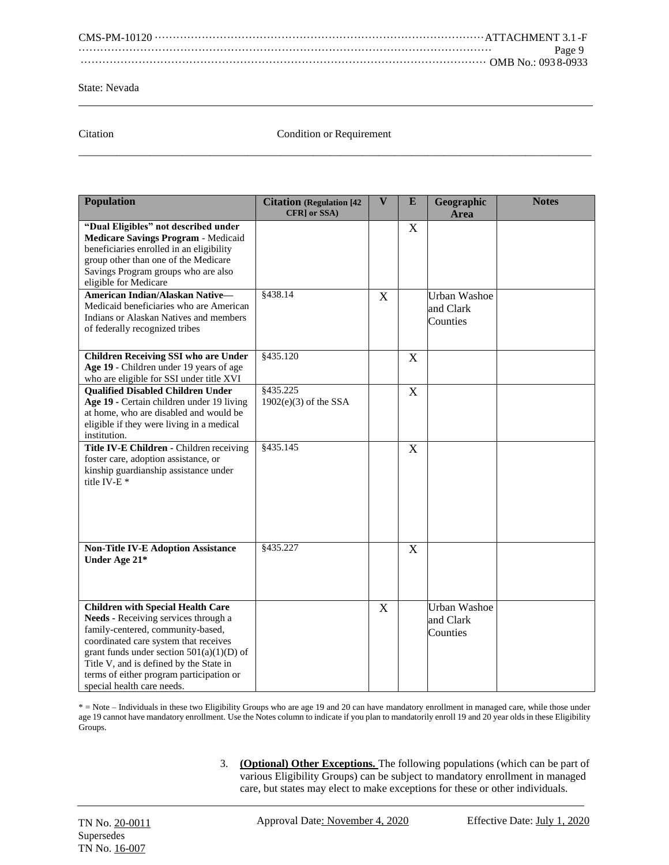| Page 9 |
|--------|
|        |

Citation Condition or Requirement  $\overline{a_1}$  ,  $\overline{a_2}$  ,  $\overline{a_3}$  ,  $\overline{a_4}$  ,  $\overline{a_5}$  ,  $\overline{a_6}$  ,  $\overline{a_7}$  ,  $\overline{a_8}$  ,  $\overline{a_9}$  ,  $\overline{a_9}$  ,  $\overline{a_9}$  ,  $\overline{a_9}$  ,  $\overline{a_9}$  ,  $\overline{a_9}$  ,  $\overline{a_9}$  ,  $\overline{a_9}$  ,  $\overline{a_9}$  ,

| <b>Population</b>                                                                                                                                                                                                                                                                                                                  | <b>Citation (Regulation [42</b><br>CFR] or SSA) | $\overline{\mathbf{V}}$ | E                         | Geographic<br>Area                           | <b>Notes</b> |
|------------------------------------------------------------------------------------------------------------------------------------------------------------------------------------------------------------------------------------------------------------------------------------------------------------------------------------|-------------------------------------------------|-------------------------|---------------------------|----------------------------------------------|--------------|
| "Dual Eligibles" not described under<br>Medicare Savings Program - Medicaid<br>beneficiaries enrolled in an eligibility<br>group other than one of the Medicare<br>Savings Program groups who are also<br>eligible for Medicare                                                                                                    |                                                 |                         | $\boldsymbol{\mathrm{X}}$ |                                              |              |
| American Indian/Alaskan Native-<br>Medicaid beneficiaries who are American<br>Indians or Alaskan Natives and members<br>of federally recognized tribes                                                                                                                                                                             | §438.14                                         | X                       |                           | <b>Urban Washoe</b><br>and Clark<br>Counties |              |
| <b>Children Receiving SSI who are Under</b><br>Age 19 - Children under 19 years of age<br>who are eligible for SSI under title XVI                                                                                                                                                                                                 | §435.120                                        |                         | $\mathbf{X}$              |                                              |              |
| <b>Qualified Disabled Children Under</b><br>Age 19 - Certain children under 19 living<br>at home, who are disabled and would be<br>eligible if they were living in a medical<br>institution.                                                                                                                                       | \$435.225<br>$1902(e)(3)$ of the SSA            |                         | X                         |                                              |              |
| Title IV-E Children - Children receiving<br>foster care, adoption assistance, or<br>kinship guardianship assistance under<br>title IV-E <sup>*</sup>                                                                                                                                                                               | \$435.145                                       |                         | X                         |                                              |              |
| <b>Non-Title IV-E Adoption Assistance</b><br>Under Age 21*                                                                                                                                                                                                                                                                         | §435.227                                        |                         | X                         |                                              |              |
| <b>Children with Special Health Care</b><br>Needs - Receiving services through a<br>family-centered, community-based,<br>coordinated care system that receives<br>grant funds under section $501(a)(1)(D)$ of<br>Title V, and is defined by the State in<br>terms of either program participation or<br>special health care needs. |                                                 | X                       |                           | <b>Urban Washoe</b><br>and Clark<br>Counties |              |

\* = Note – Individuals in these two Eligibility Groups who are age 19 and 20 can have mandatory enrollment in managed care, while those under age 19 cannot have mandatory enrollment. Use the Notes column to indicate if you plan to mandatorily enroll 19 and 20 year olds in these Eligibility Groups.

> 3. **(Optional) Other Exceptions.** The following populations (which can be part of various Eligibility Groups) can be subject to mandatory enrollment in managed care, but states may elect to make exceptions for these or other individuals.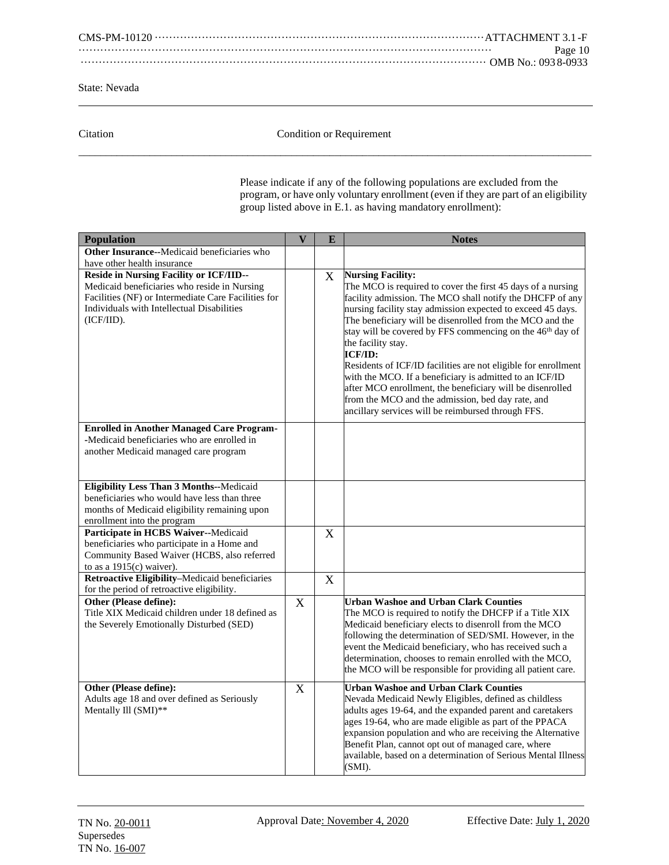CMS-PM-10120 ···························································································ATTACHMENT 3.1 -F ·················································································································· Page 10 ················································································································ OMB No.: 093 8-0933

State: Nevada

Citation Citation Condition or Requirement  $\overline{a_1}$  ,  $\overline{a_2}$  ,  $\overline{a_3}$  ,  $\overline{a_4}$  ,  $\overline{a_5}$  ,  $\overline{a_6}$  ,  $\overline{a_7}$  ,  $\overline{a_8}$  ,  $\overline{a_9}$  ,  $\overline{a_9}$  ,  $\overline{a_9}$  ,  $\overline{a_9}$  ,  $\overline{a_9}$  ,  $\overline{a_9}$  ,  $\overline{a_9}$  ,  $\overline{a_9}$  ,  $\overline{a_9}$  ,

> Please indicate if any of the following populations are excluded from the program, or have only voluntary enrollment (even if they are part of an eligibility group listed above in E.1. as having mandatory enrollment):

| Population                                                                                                                                                                                                        | $\overline{\mathbf{V}}$ | E | <b>Notes</b>                                                                                                                                                                                                                                                                                                                                                                   |
|-------------------------------------------------------------------------------------------------------------------------------------------------------------------------------------------------------------------|-------------------------|---|--------------------------------------------------------------------------------------------------------------------------------------------------------------------------------------------------------------------------------------------------------------------------------------------------------------------------------------------------------------------------------|
| Other Insurance--Medicaid beneficiaries who                                                                                                                                                                       |                         |   |                                                                                                                                                                                                                                                                                                                                                                                |
| have other health insurance                                                                                                                                                                                       |                         |   |                                                                                                                                                                                                                                                                                                                                                                                |
| <b>Reside in Nursing Facility or ICF/IID--</b><br>Medicaid beneficiaries who reside in Nursing<br>Facilities (NF) or Intermediate Care Facilities for<br>Individuals with Intellectual Disabilities<br>(ICF/IID). |                         | X | <b>Nursing Facility:</b><br>The MCO is required to cover the first 45 days of a nursing<br>facility admission. The MCO shall notify the DHCFP of any<br>nursing facility stay admission expected to exceed 45 days.<br>The beneficiary will be disenrolled from the MCO and the<br>stay will be covered by FFS commencing on the 46 <sup>th</sup> day of<br>the facility stay. |
|                                                                                                                                                                                                                   |                         |   | ICF/ID:<br>Residents of ICF/ID facilities are not eligible for enrollment<br>with the MCO. If a beneficiary is admitted to an ICF/ID<br>after MCO enrollment, the beneficiary will be disenrolled<br>from the MCO and the admission, bed day rate, and<br>ancillary services will be reimbursed through FFS.                                                                   |
| <b>Enrolled in Another Managed Care Program-</b>                                                                                                                                                                  |                         |   |                                                                                                                                                                                                                                                                                                                                                                                |
| -Medicaid beneficiaries who are enrolled in                                                                                                                                                                       |                         |   |                                                                                                                                                                                                                                                                                                                                                                                |
| another Medicaid managed care program                                                                                                                                                                             |                         |   |                                                                                                                                                                                                                                                                                                                                                                                |
| Eligibility Less Than 3 Months--Medicaid                                                                                                                                                                          |                         |   |                                                                                                                                                                                                                                                                                                                                                                                |
| beneficiaries who would have less than three                                                                                                                                                                      |                         |   |                                                                                                                                                                                                                                                                                                                                                                                |
| months of Medicaid eligibility remaining upon                                                                                                                                                                     |                         |   |                                                                                                                                                                                                                                                                                                                                                                                |
| enrollment into the program                                                                                                                                                                                       |                         |   |                                                                                                                                                                                                                                                                                                                                                                                |
| Participate in HCBS Waiver--Medicaid                                                                                                                                                                              |                         | X |                                                                                                                                                                                                                                                                                                                                                                                |
| beneficiaries who participate in a Home and                                                                                                                                                                       |                         |   |                                                                                                                                                                                                                                                                                                                                                                                |
| Community Based Waiver (HCBS, also referred                                                                                                                                                                       |                         |   |                                                                                                                                                                                                                                                                                                                                                                                |
| to as a $1915(c)$ waiver).                                                                                                                                                                                        |                         |   |                                                                                                                                                                                                                                                                                                                                                                                |
| Retroactive Eligibility-Medicaid beneficiaries<br>for the period of retroactive eligibility.                                                                                                                      |                         | X |                                                                                                                                                                                                                                                                                                                                                                                |
| <b>Other (Please define):</b>                                                                                                                                                                                     | $\overline{X}$          |   | <b>Urban Washoe and Urban Clark Counties</b>                                                                                                                                                                                                                                                                                                                                   |
| Title XIX Medicaid children under 18 defined as<br>the Severely Emotionally Disturbed (SED)                                                                                                                       |                         |   | The MCO is required to notify the DHCFP if a Title XIX<br>Medicaid beneficiary elects to disenroll from the MCO<br>following the determination of SED/SMI. However, in the<br>event the Medicaid beneficiary, who has received such a<br>determination, chooses to remain enrolled with the MCO,<br>the MCO will be responsible for providing all patient care.                |
| Other (Please define):                                                                                                                                                                                            | X                       |   | <b>Urban Washoe and Urban Clark Counties</b>                                                                                                                                                                                                                                                                                                                                   |
| Adults age 18 and over defined as Seriously<br>Mentally Ill (SMI)**                                                                                                                                               |                         |   | Nevada Medicaid Newly Eligibles, defined as childless<br>adults ages 19-64, and the expanded parent and caretakers<br>ages 19-64, who are made eligible as part of the PPACA<br>expansion population and who are receiving the Alternative<br>Benefit Plan, cannot opt out of managed care, where<br>available, based on a determination of Serious Mental Illness<br>(SMI).   |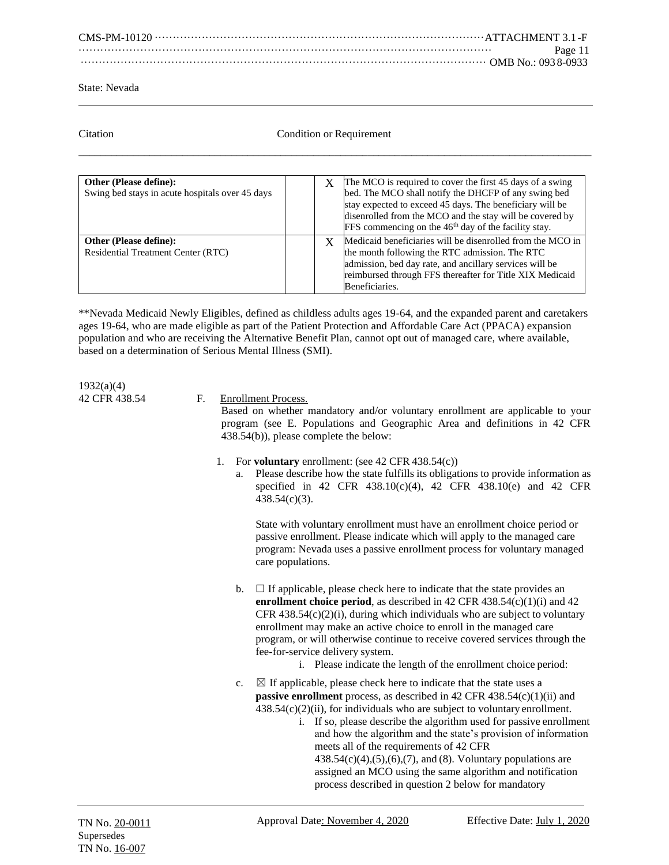| Page 11 |
|---------|
|         |

# Citation Condition Condition or Requirement  $\overline{a_1}$  ,  $\overline{a_2}$  ,  $\overline{a_3}$  ,  $\overline{a_4}$  ,  $\overline{a_5}$  ,  $\overline{a_6}$  ,  $\overline{a_7}$  ,  $\overline{a_8}$  ,  $\overline{a_9}$  ,  $\overline{a_9}$  ,  $\overline{a_9}$  ,  $\overline{a_9}$  ,  $\overline{a_9}$  ,  $\overline{a_9}$  ,  $\overline{a_9}$  ,  $\overline{a_9}$  ,  $\overline{a_9}$  ,

| <b>Other (Please define):</b><br>Swing bed stays in acute hospitals over 45 days |  | The MCO is required to cover the first 45 days of a swing<br>bed. The MCO shall notify the DHCFP of any swing bed<br>stay expected to exceed 45 days. The beneficiary will be<br>disenrolled from the MCO and the stay will be covered by<br>FFS commencing on the 46 <sup>th</sup> day of the facility stay. |
|----------------------------------------------------------------------------------|--|---------------------------------------------------------------------------------------------------------------------------------------------------------------------------------------------------------------------------------------------------------------------------------------------------------------|
| <b>Other (Please define):</b><br><b>Residential Treatment Center (RTC)</b>       |  | Medicaid beneficiaries will be disenrolled from the MCO in<br>the month following the RTC admission. The RTC<br>admission, bed day rate, and ancillary services will be<br>reimbursed through FFS thereafter for Title XIX Medicaid<br>Beneficiaries.                                                         |

\*\*Nevada Medicaid Newly Eligibles, defined as childless adults ages 19-64, and the expanded parent and caretakers ages 19-64, who are made eligible as part of the Patient Protection and Affordable Care Act (PPACA) expansion population and who are receiving the Alternative Benefit Plan, cannot opt out of managed care, where available, based on a determination of Serious Mental Illness (SMI).

1932(a)(4)

# 42 CFR 438.54 F. Enrollment Process.

Based on whether mandatory and/or voluntary enrollment are applicable to your program (see E. Populations and Geographic Area and definitions in 42 CFR 438.54(b)), please complete the below:

- 1. For **voluntary** enrollment: (see 42 CFR 438.54(c))
	- a. Please describe how the state fulfills its obligations to provide information as specified in 42 CFR 438.10(c)(4), 42 CFR 438.10(e) and 42 CFR 438.54(c)(3).

State with voluntary enrollment must have an enrollment choice period or passive enrollment. Please indicate which will apply to the managed care program: Nevada uses a passive enrollment process for voluntary managed care populations.

- b.  $\Box$  If applicable, please check here to indicate that the state provides an **enrollment choice period**, as described in 42 CFR  $438.54(c)(1)(i)$  and 42 CFR  $438.54(c)(2)(i)$ , during which individuals who are subject to voluntary enrollment may make an active choice to enroll in the managed care program, or will otherwise continue to receive covered services through the fee-for-service delivery system.
	- i. Please indicate the length of the enrollment choice period:
- c.  $\boxtimes$  If applicable, please check here to indicate that the state uses a **passive enrollment** process, as described in 42 CFR 438.54(c)(1)(ii) and  $438.54(c)(2)(ii)$ , for individuals who are subject to voluntary enrollment.
	- i. If so, please describe the algorithm used for passive enrollment and how the algorithm and the state's provision of information meets all of the requirements of 42 CFR  $438.54(c)(4)$ ,  $(5)$ ,  $(6)$ ,  $(7)$ , and  $(8)$ . Voluntary populations are assigned an MCO using the same algorithm and notification process described in question 2 below for mandatory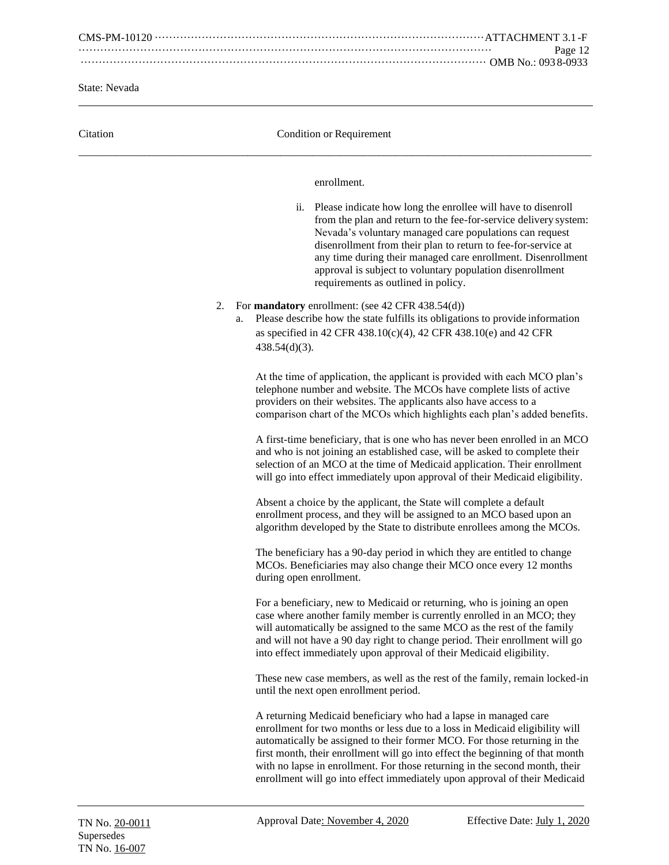CMS-PM-10120 ···························································································ATTACHMENT 3.1 -F ·················································································································· Page 12 ················································································································ OMB No.: 093 8-0933

State: Nevada

| Citation | <b>Condition or Requirement</b>                                                                                                                                                                                                                                                                                                                                                                                                                                             |
|----------|-----------------------------------------------------------------------------------------------------------------------------------------------------------------------------------------------------------------------------------------------------------------------------------------------------------------------------------------------------------------------------------------------------------------------------------------------------------------------------|
|          | enrollment.                                                                                                                                                                                                                                                                                                                                                                                                                                                                 |
|          | Please indicate how long the enrollee will have to disenroll<br>ii.<br>from the plan and return to the fee-for-service delivery system:<br>Nevada's voluntary managed care populations can request<br>disenrollment from their plan to return to fee-for-service at<br>any time during their managed care enrollment. Disenrollment<br>approval is subject to voluntary population disenrollment<br>requirements as outlined in policy.                                     |
|          | For <b>mandatory</b> enrollment: (see 42 CFR 438.54(d))<br>2.<br>Please describe how the state fulfills its obligations to provide information<br>a.<br>as specified in 42 CFR 438.10(c)(4), 42 CFR 438.10(e) and 42 CFR<br>$438.54(d)(3)$ .                                                                                                                                                                                                                                |
|          | At the time of application, the applicant is provided with each MCO plan's<br>telephone number and website. The MCOs have complete lists of active<br>providers on their websites. The applicants also have access to a<br>comparison chart of the MCOs which highlights each plan's added benefits.                                                                                                                                                                        |
|          | A first-time beneficiary, that is one who has never been enrolled in an MCO<br>and who is not joining an established case, will be asked to complete their<br>selection of an MCO at the time of Medicaid application. Their enrollment<br>will go into effect immediately upon approval of their Medicaid eligibility.                                                                                                                                                     |
|          | Absent a choice by the applicant, the State will complete a default<br>enrollment process, and they will be assigned to an MCO based upon an<br>algorithm developed by the State to distribute enrollees among the MCOs.                                                                                                                                                                                                                                                    |
|          | The beneficiary has a 90-day period in which they are entitled to change<br>MCOs. Beneficiaries may also change their MCO once every 12 months<br>during open enrollment.                                                                                                                                                                                                                                                                                                   |
|          | For a beneficiary, new to Medicaid or returning, who is joining an open<br>case where another family member is currently enrolled in an MCO; they<br>will automatically be assigned to the same MCO as the rest of the family<br>and will not have a 90 day right to change period. Their enrollment will go<br>into effect immediately upon approval of their Medicaid eligibility.                                                                                        |
|          | These new case members, as well as the rest of the family, remain locked-in<br>until the next open enrollment period.                                                                                                                                                                                                                                                                                                                                                       |
|          | A returning Medicaid beneficiary who had a lapse in managed care<br>enrollment for two months or less due to a loss in Medicaid eligibility will<br>automatically be assigned to their former MCO. For those returning in the<br>first month, their enrollment will go into effect the beginning of that month<br>with no lapse in enrollment. For those returning in the second month, their<br>enrollment will go into effect immediately upon approval of their Medicaid |
|          |                                                                                                                                                                                                                                                                                                                                                                                                                                                                             |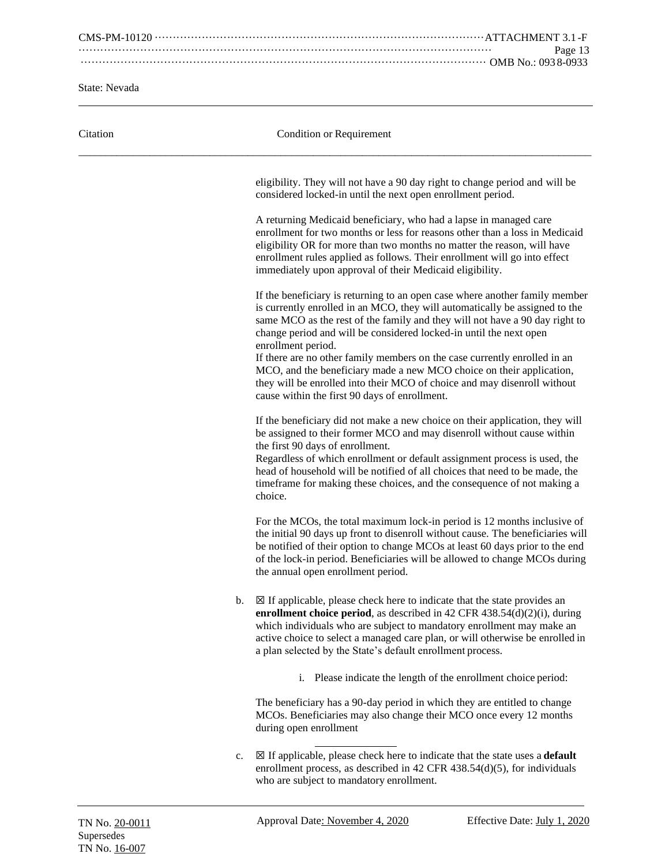CMS-PM-10120 ···························································································ATTACHMENT 3.1 -F ·················································································································· Page 13 ················································································································ OMB No.: 093 8-0933

State: Nevada

| Citation |    | Condition or Requirement                                                                                                                                                                                                                                                                                                                                                                                                                                                                                                                                                                                                |
|----------|----|-------------------------------------------------------------------------------------------------------------------------------------------------------------------------------------------------------------------------------------------------------------------------------------------------------------------------------------------------------------------------------------------------------------------------------------------------------------------------------------------------------------------------------------------------------------------------------------------------------------------------|
|          |    | eligibility. They will not have a 90 day right to change period and will be<br>considered locked-in until the next open enrollment period.                                                                                                                                                                                                                                                                                                                                                                                                                                                                              |
|          |    | A returning Medicaid beneficiary, who had a lapse in managed care<br>enrollment for two months or less for reasons other than a loss in Medicaid<br>eligibility OR for more than two months no matter the reason, will have<br>enrollment rules applied as follows. Their enrollment will go into effect<br>immediately upon approval of their Medicaid eligibility.                                                                                                                                                                                                                                                    |
|          |    | If the beneficiary is returning to an open case where another family member<br>is currently enrolled in an MCO, they will automatically be assigned to the<br>same MCO as the rest of the family and they will not have a 90 day right to<br>change period and will be considered locked-in until the next open<br>enrollment period.<br>If there are no other family members on the case currently enrolled in an<br>MCO, and the beneficiary made a new MCO choice on their application,<br>they will be enrolled into their MCO of choice and may disenroll without<br>cause within the first 90 days of enrollment. |
|          |    | If the beneficiary did not make a new choice on their application, they will<br>be assigned to their former MCO and may disenroll without cause within<br>the first 90 days of enrollment.<br>Regardless of which enrollment or default assignment process is used, the<br>head of household will be notified of all choices that need to be made, the<br>timeframe for making these choices, and the consequence of not making a<br>choice.                                                                                                                                                                            |
|          |    | For the MCOs, the total maximum lock-in period is 12 months inclusive of<br>the initial 90 days up front to disenroll without cause. The beneficiaries will<br>be notified of their option to change MCOs at least 60 days prior to the end<br>of the lock-in period. Beneficiaries will be allowed to change MCOs during<br>the annual open enrollment period.                                                                                                                                                                                                                                                         |
|          | b. | $\boxtimes$ If applicable, please check here to indicate that the state provides an<br>enrollment choice period, as described in 42 CFR $438.54(d)(2)(i)$ , during<br>which individuals who are subject to mandatory enrollment may make an<br>active choice to select a managed care plan, or will otherwise be enrolled in<br>a plan selected by the State's default enrollment process.                                                                                                                                                                                                                              |
|          |    | Please indicate the length of the enrollment choice period:<br>i.                                                                                                                                                                                                                                                                                                                                                                                                                                                                                                                                                       |
|          |    | The beneficiary has a 90-day period in which they are entitled to change<br>MCOs. Beneficiaries may also change their MCO once every 12 months<br>during open enrollment                                                                                                                                                                                                                                                                                                                                                                                                                                                |
|          | c. | $\boxtimes$ If applicable, please check here to indicate that the state uses a <b>default</b><br>enrollment process, as described in 42 CFR $438.54(d)(5)$ , for individuals<br>who are subject to mandatory enrollment.                                                                                                                                                                                                                                                                                                                                                                                                |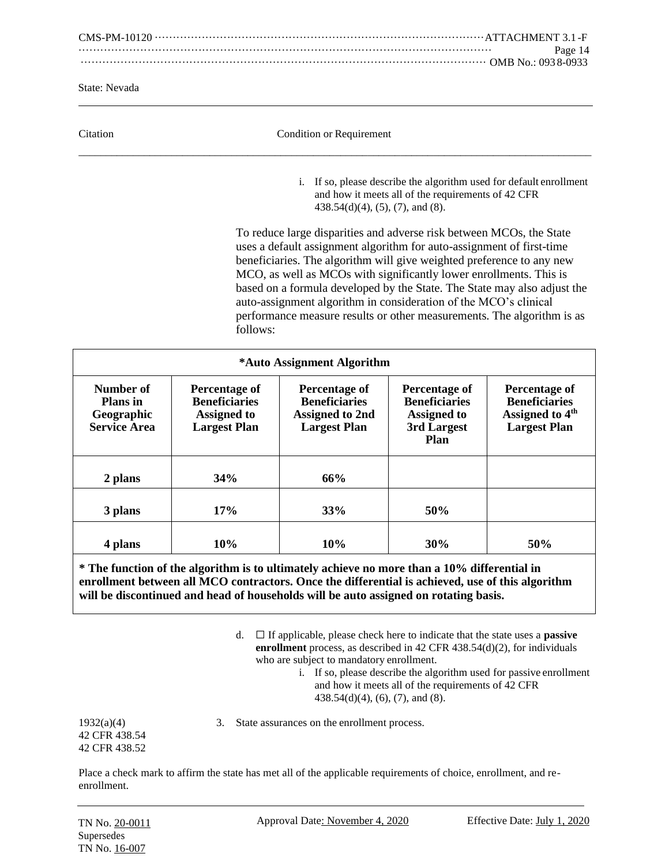CMS-PM-10120 ···························································································ATTACHMENT 3.1 -F ·················································································································· Page 14 ················································································································ OMB No.: 093 8-0933

State: Nevada

| Citation | Condition or Requirement                                                                                                                                                                                                                                                                                                                                                                                                                                                                                               |  |  |  |  |
|----------|------------------------------------------------------------------------------------------------------------------------------------------------------------------------------------------------------------------------------------------------------------------------------------------------------------------------------------------------------------------------------------------------------------------------------------------------------------------------------------------------------------------------|--|--|--|--|
|          | If so, please describe the algorithm used for default enrollment<br>1.<br>and how it meets all of the requirements of 42 CFR<br>$438.54(d)(4)$ , $(5)$ , $(7)$ , and $(8)$ .                                                                                                                                                                                                                                                                                                                                           |  |  |  |  |
|          | To reduce large disparities and adverse risk between MCOs, the State<br>uses a default assignment algorithm for auto-assignment of first-time<br>beneficiaries. The algorithm will give weighted preference to any new<br>MCO, as well as MCOs with significantly lower enrollments. This is<br>based on a formula developed by the State. The State may also adjust the<br>auto-assignment algorithm in consideration of the MCO's clinical<br>performance measure results or other measurements. The algorithm is as |  |  |  |  |

| *Auto Assignment Algorithm                                        |                                                                                    |                                                                                        |                                                                                           |                                                                                             |  |  |  |  |
|-------------------------------------------------------------------|------------------------------------------------------------------------------------|----------------------------------------------------------------------------------------|-------------------------------------------------------------------------------------------|---------------------------------------------------------------------------------------------|--|--|--|--|
| Number of<br><b>Plans</b> in<br>Geographic<br><b>Service Area</b> | Percentage of<br><b>Beneficiaries</b><br><b>Assigned to</b><br><b>Largest Plan</b> | Percentage of<br><b>Beneficiaries</b><br><b>Assigned to 2nd</b><br><b>Largest Plan</b> | Percentage of<br><b>Beneficiaries</b><br><b>Assigned to</b><br>3rd Largest<br><b>Plan</b> | Percentage of<br><b>Beneficiaries</b><br>Assigned to 4 <sup>th</sup><br><b>Largest Plan</b> |  |  |  |  |
| 2 plans                                                           | 34%                                                                                | 66%                                                                                    |                                                                                           |                                                                                             |  |  |  |  |
| 3 plans                                                           | 17%                                                                                | 33%                                                                                    | 50%                                                                                       |                                                                                             |  |  |  |  |
| 4 plans                                                           | 10%                                                                                | 10%                                                                                    | 30%                                                                                       | 50%                                                                                         |  |  |  |  |

follows:

# **\* The function of the algorithm is to ultimately achieve no more than a 10% differential in enrollment between all MCO contractors. Once the differential is achieved, use of this algorithm will be discontinued and head of households will be auto assigned on rotating basis.**

d. ☐ If applicable, please check here to indicate that the state uses a **passive enrollment** process, as described in 42 CFR 438.54(d)(2), for individuals who are subject to mandatory enrollment.

> i. If so, please describe the algorithm used for passive enrollment and how it meets all of the requirements of 42 CFR 438.54(d)(4), (6), (7), and (8).

42 CFR 438.54 42 CFR 438.52

1932(a)(4) 3. State assurances on the enrollment process.

Place a check mark to affirm the state has met all of the applicable requirements of choice, enrollment, and reenrollment.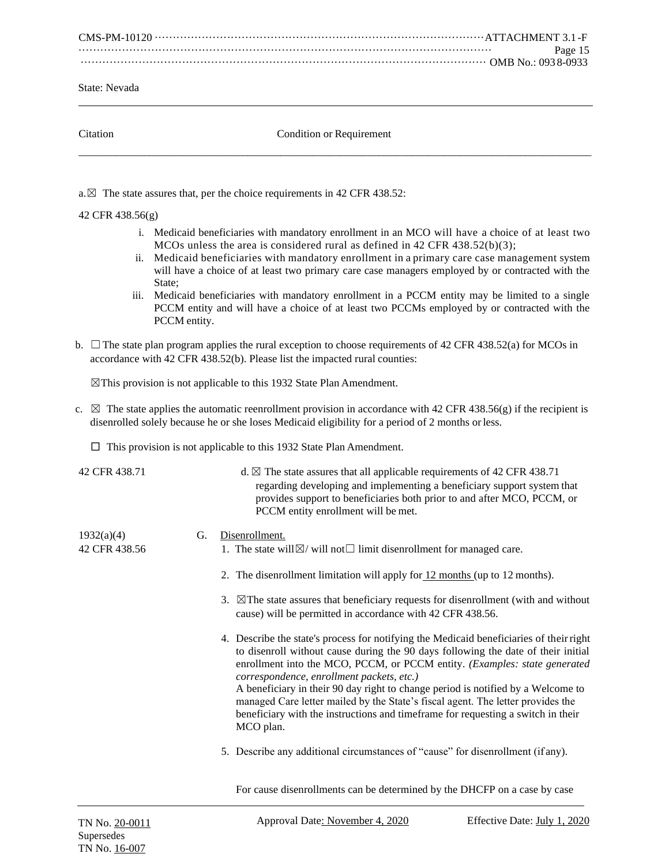CMS-PM-10120 ···························································································ATTACHMENT 3.1 -F ·················································································································· Page 15 ················································································································ OMB No.: 093 8-0933

State: Nevada

| atation: |  |
|----------|--|
|          |  |
|          |  |

Condition or Requirement  $\overline{a_1}$  ,  $\overline{a_2}$  ,  $\overline{a_3}$  ,  $\overline{a_4}$  ,  $\overline{a_5}$  ,  $\overline{a_6}$  ,  $\overline{a_7}$  ,  $\overline{a_8}$  ,  $\overline{a_9}$  ,  $\overline{a_9}$  ,  $\overline{a_9}$  ,  $\overline{a_9}$  ,  $\overline{a_9}$  ,  $\overline{a_9}$  ,  $\overline{a_9}$  ,  $\overline{a_9}$  ,  $\overline{a_9}$  ,

a. $\boxtimes$  The state assures that, per the choice requirements in 42 CFR 438.52:

# 42 CFR 438.56(g)

- i. Medicaid beneficiaries with mandatory enrollment in an MCO will have a choice of at least two MCOs unless the area is considered rural as defined in 42 CFR 438.52(b)(3);
- ii. Medicaid beneficiaries with mandatory enrollment in a primary care case management system will have a choice of at least two primary care case managers employed by or contracted with the State;
- iii. Medicaid beneficiaries with mandatory enrollment in a PCCM entity may be limited to a single PCCM entity and will have a choice of at least two PCCMs employed by or contracted with the PCCM entity.
- b.  $\Box$  The state plan program applies the rural exception to choose requirements of 42 CFR 438.52(a) for MCOs in accordance with 42 CFR 438.52(b). Please list the impacted rural counties:

 $\boxtimes$ This provision is not applicable to this 1932 State Plan Amendment.

- c.  $\boxtimes$  The state applies the automatic reenrollment provision in accordance with 42 CFR 438.56(g) if the recipient is disenrolled solely because he or she loses Medicaid eligibility for a period of 2 months orless.
	- $\Box$  This provision is not applicable to this 1932 State Plan Amendment.

42 CFR 438.71 d.  $\boxtimes$  The state assures that all applicable requirements of 42 CFR 438.71 regarding developing and implementing a beneficiary support system that provides support to beneficiaries both prior to and after MCO, PCCM, or PCCM entity enrollment will be met.

# 1932(a)(4) G. Disenrollment.

- 42 CFR 438.56 1. The state will $\boxtimes$ / will not $\Box$  limit disenrollment for managed care.
	- 2. The disenrollment limitation will apply for 12 months (up to 12 months).
	- 3.  $\boxtimes$ The state assures that beneficiary requests for disenrollment (with and without cause) will be permitted in accordance with 42 CFR 438.56.
	- 4. Describe the state's process for notifying the Medicaid beneficiaries of theirright to disenroll without cause during the 90 days following the date of their initial enrollment into the MCO, PCCM, or PCCM entity*. (Examples: state generated correspondence, enrollment packets, etc.)* A beneficiary in their 90 day right to change period is notified by a Welcome to managed Care letter mailed by the State's fiscal agent. The letter provides the beneficiary with the instructions and timeframe for requesting a switch in their MCO plan.
		- 5. Describe any additional circumstances of "cause" for disenrollment (if any).

For cause disenrollments can be determined by the DHCFP on a case by case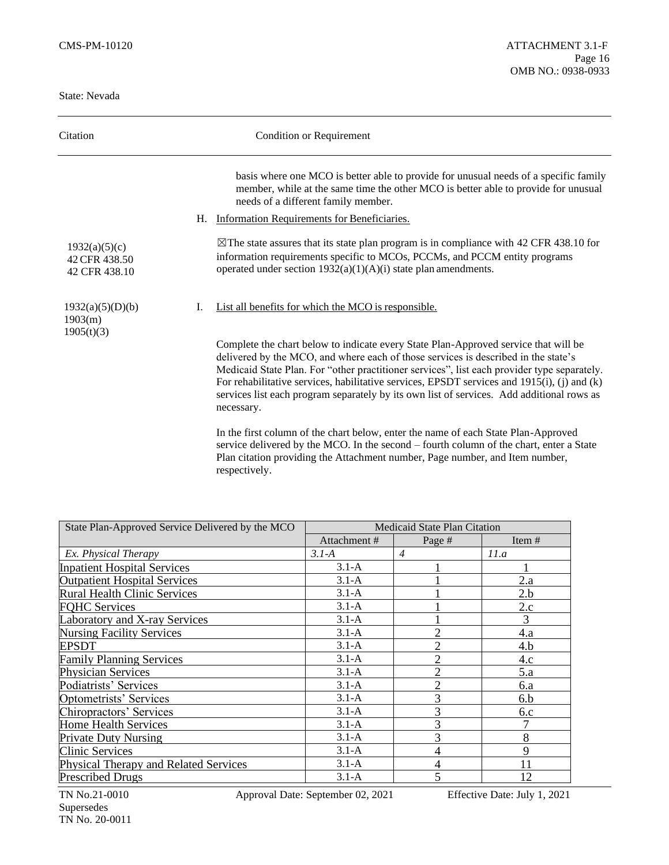| Citation                                        | <b>Condition or Requirement</b>                                                                                                                                                                                                                                                                                                                                                                                                                                                       |
|-------------------------------------------------|---------------------------------------------------------------------------------------------------------------------------------------------------------------------------------------------------------------------------------------------------------------------------------------------------------------------------------------------------------------------------------------------------------------------------------------------------------------------------------------|
|                                                 | basis where one MCO is better able to provide for unusual needs of a specific family<br>member, while at the same time the other MCO is better able to provide for unusual<br>needs of a different family member.                                                                                                                                                                                                                                                                     |
|                                                 | Information Requirements for Beneficiaries.<br>Н.                                                                                                                                                                                                                                                                                                                                                                                                                                     |
| 1932(a)(5)(c)<br>42 CFR 438.50<br>42 CFR 438.10 | $\boxtimes$ The state assures that its state plan program is in compliance with 42 CFR 438.10 for<br>information requirements specific to MCOs, PCCMs, and PCCM entity programs<br>operated under section $1932(a)(1)(A)(i)$ state plan amendments.                                                                                                                                                                                                                                   |
| 1932(a)(5)(D)(b)<br>1903(m)<br>1905(t)(3)       | List all benefits for which the MCO is responsible.<br>L.                                                                                                                                                                                                                                                                                                                                                                                                                             |
|                                                 | Complete the chart below to indicate every State Plan-Approved service that will be<br>delivered by the MCO, and where each of those services is described in the state's<br>Medicaid State Plan. For "other practitioner services", list each provider type separately.<br>For rehabilitative services, habilitative services, EPSDT services and $1915(i)$ , (j) and (k)<br>services list each program separately by its own list of services. Add additional rows as<br>necessary. |
|                                                 | In the first column of the chart below, enter the name of each State Plan-Approved<br>service delivered by the MCO. In the second – fourth column of the chart, enter a State<br>Plan citation providing the Attachment number, Page number, and Item number,<br>respectively.                                                                                                                                                                                                        |

| State Plan-Approved Service Delivered by the MCO | Medicaid State Plan Citation |                |          |
|--------------------------------------------------|------------------------------|----------------|----------|
|                                                  | Attachment#                  | Page #         | Item $#$ |
| Ex. Physical Therapy                             | $3.1-A$                      | $\overline{4}$ | 11.a     |
| <b>Inpatient Hospital Services</b>               | $3.1-A$                      |                |          |
| <b>Outpatient Hospital Services</b>              | $3.1-A$                      |                | 2.a      |
| <b>Rural Health Clinic Services</b>              | $3.1-A$                      |                | 2.b      |
| <b>FQHC Services</b>                             | $3.1-A$                      |                | 2.c      |
| Laboratory and X-ray Services                    | $3.1-A$                      |                | 3        |
| <b>Nursing Facility Services</b>                 | $3.1-A$                      | $\overline{2}$ | 4.a      |
| <b>EPSDT</b>                                     | $3.1-A$                      | $\overline{2}$ | 4.b      |
| <b>Family Planning Services</b>                  | $3.1-A$                      | $\overline{2}$ | 4.c      |
| <b>Physician Services</b>                        | $3.1-A$                      | $\overline{2}$ | 5.a      |
| Podiatrists' Services                            | $3.1-A$                      | $\overline{2}$ | 6.a      |
| Optometrists' Services                           | $3.1-A$                      | 3              | 6.b      |
| Chiropractors' Services                          | $3.1-A$                      | $\mathcal{R}$  | 6.c      |
| Home Health Services                             | $3.1-A$                      | 3              |          |
| <b>Private Duty Nursing</b>                      | $3.1-A$                      |                | 8        |
| <b>Clinic Services</b>                           | $3.1-A$                      | 4              | 9        |
| Physical Therapy and Related Services            | $3.1-A$                      | 4              | 11       |
| <b>Prescribed Drugs</b>                          | $3.1-A$                      |                | 12       |

TN No.21-0010 Approval Date: September 02, 2021 Effective Date: July 1, 2021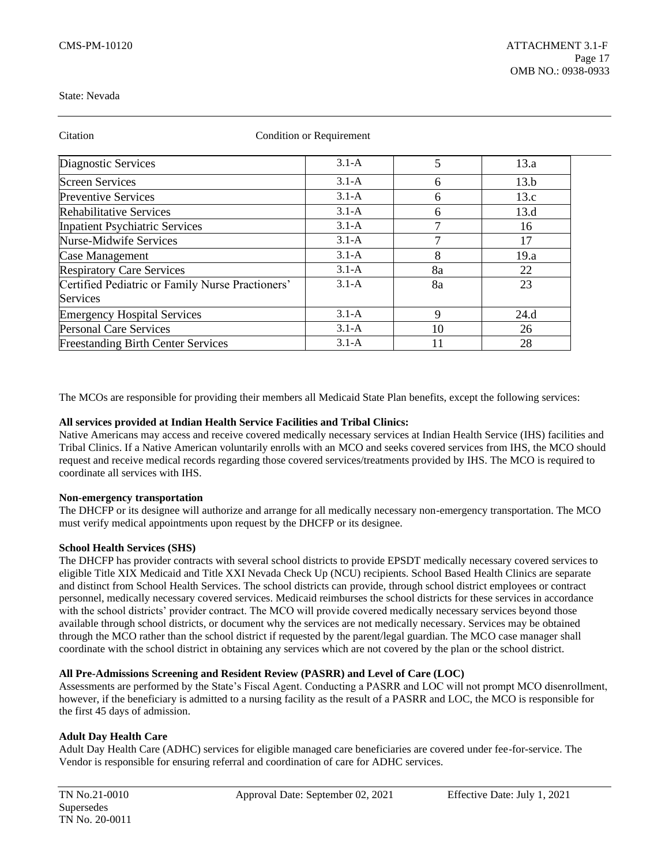| Citation                                         | <b>Condition or Requirement</b> |    |      |  |
|--------------------------------------------------|---------------------------------|----|------|--|
| Diagnostic Services                              | $3.1-A$                         | 5  | 13.a |  |
| <b>Screen Services</b>                           | $3.1-A$                         | 6  | 13.b |  |
| <b>Preventive Services</b>                       | $3.1-A$                         | 6  | 13.c |  |
| <b>Rehabilitative Services</b>                   | $3.1-A$                         | 6  | 13.d |  |
| <b>Inpatient Psychiatric Services</b>            | $3.1-A$                         | 7  | 16   |  |
| <b>Nurse-Midwife Services</b>                    | $3.1-A$                         | 7  | 17   |  |
| Case Management                                  | $3.1-A$                         | 8  | 19.a |  |
| <b>Respiratory Care Services</b>                 | $3.1-A$                         | 8a | 22   |  |
| Certified Pediatric or Family Nurse Practioners' | $3.1-A$                         | 8a | 23   |  |
| Services                                         |                                 |    |      |  |
| <b>Emergency Hospital Services</b>               | $3.1-A$                         | 9  | 24.d |  |
| <b>Personal Care Services</b>                    | $3.1-A$                         | 10 | 26   |  |
| <b>Freestanding Birth Center Services</b>        | $3.1-A$                         | 11 | 28   |  |

The MCOs are responsible for providing their members all Medicaid State Plan benefits, except the following services:

### **All services provided at Indian Health Service Facilities and Tribal Clinics:**

Native Americans may access and receive covered medically necessary services at Indian Health Service (IHS) facilities and Tribal Clinics. If a Native American voluntarily enrolls with an MCO and seeks covered services from IHS, the MCO should request and receive medical records regarding those covered services/treatments provided by IHS. The MCO is required to coordinate all services with IHS.

#### **Non-emergency transportation**

The DHCFP or its designee will authorize and arrange for all medically necessary non-emergency transportation. The MCO must verify medical appointments upon request by the DHCFP or its designee.

### **School Health Services (SHS)**

The DHCFP has provider contracts with several school districts to provide EPSDT medically necessary covered services to eligible Title XIX Medicaid and Title XXI Nevada Check Up (NCU) recipients. School Based Health Clinics are separate and distinct from School Health Services. The school districts can provide, through school district employees or contract personnel, medically necessary covered services. Medicaid reimburses the school districts for these services in accordance with the school districts' provider contract. The MCO will provide covered medically necessary services beyond those available through school districts, or document why the services are not medically necessary. Services may be obtained through the MCO rather than the school district if requested by the parent/legal guardian. The MCO case manager shall coordinate with the school district in obtaining any services which are not covered by the plan or the school district.

# **All Pre-Admissions Screening and Resident Review (PASRR) and Level of Care (LOC)**

Assessments are performed by the State's Fiscal Agent. Conducting a PASRR and LOC will not prompt MCO disenrollment, however, if the beneficiary is admitted to a nursing facility as the result of a PASRR and LOC, the MCO is responsible for the first 45 days of admission.

# **Adult Day Health Care**

Adult Day Health Care (ADHC) services for eligible managed care beneficiaries are covered under fee-for-service. The Vendor is responsible for ensuring referral and coordination of care for ADHC services.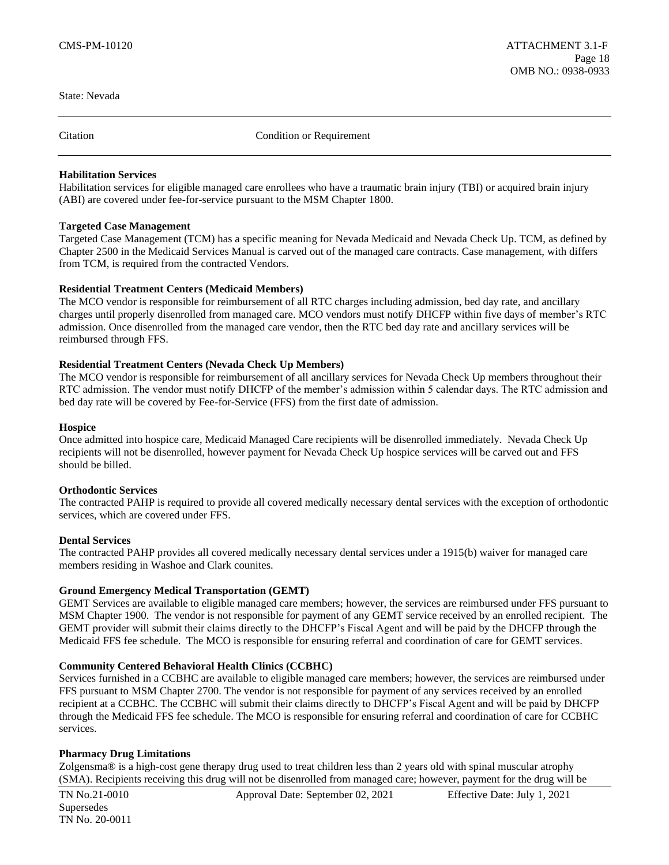Citation Condition or Requirement

# **Habilitation Services**

Habilitation services for eligible managed care enrollees who have a traumatic brain injury (TBI) or acquired brain injury (ABI) are covered under fee-for-service pursuant to the MSM Chapter 1800.

### **Targeted Case Management**

Targeted Case Management (TCM) has a specific meaning for Nevada Medicaid and Nevada Check Up. TCM, as defined by Chapter 2500 in the Medicaid Services Manual is carved out of the managed care contracts. Case management, with differs from TCM, is required from the contracted Vendors.

### **Residential Treatment Centers (Medicaid Members)**

The MCO vendor is responsible for reimbursement of all RTC charges including admission, bed day rate, and ancillary charges until properly disenrolled from managed care. MCO vendors must notify DHCFP within five days of member's RTC admission. Once disenrolled from the managed care vendor, then the RTC bed day rate and ancillary services will be reimbursed through FFS.

### **Residential Treatment Centers (Nevada Check Up Members)**

The MCO vendor is responsible for reimbursement of all ancillary services for Nevada Check Up members throughout their RTC admission. The vendor must notify DHCFP of the member's admission within 5 calendar days. The RTC admission and bed day rate will be covered by Fee-for-Service (FFS) from the first date of admission.

#### **Hospice**

Once admitted into hospice care, Medicaid Managed Care recipients will be disenrolled immediately. Nevada Check Up recipients will not be disenrolled, however payment for Nevada Check Up hospice services will be carved out and FFS should be billed.

#### **Orthodontic Services**

The contracted PAHP is required to provide all covered medically necessary dental services with the exception of orthodontic services, which are covered under FFS.

#### **Dental Services**

The contracted PAHP provides all covered medically necessary dental services under a 1915(b) waiver for managed care members residing in Washoe and Clark counites.

# **Ground Emergency Medical Transportation (GEMT)**

GEMT Services are available to eligible managed care members; however, the services are reimbursed under FFS pursuant to MSM Chapter 1900. The vendor is not responsible for payment of any GEMT service received by an enrolled recipient. The GEMT provider will submit their claims directly to the DHCFP's Fiscal Agent and will be paid by the DHCFP through the Medicaid FFS fee schedule. The MCO is responsible for ensuring referral and coordination of care for GEMT services.

#### **Community Centered Behavioral Health Clinics (CCBHC)**

Services furnished in a CCBHC are available to eligible managed care members; however, the services are reimbursed under FFS pursuant to MSM Chapter 2700. The vendor is not responsible for payment of any services received by an enrolled recipient at a CCBHC. The CCBHC will submit their claims directly to DHCFP's Fiscal Agent and will be paid by DHCFP through the Medicaid FFS fee schedule. The MCO is responsible for ensuring referral and coordination of care for CCBHC services.

# **Pharmacy Drug Limitations**

Zolgensma® is a high-cost gene therapy drug used to treat children less than 2 years old with spinal muscular atrophy (SMA). Recipients receiving this drug will not be disenrolled from managed care; however, payment for the drug will be

Supersedes TN No. 20-0011

TN No.21-0010 Approval Date: September 02, 2021 Effective Date: July 1, 2021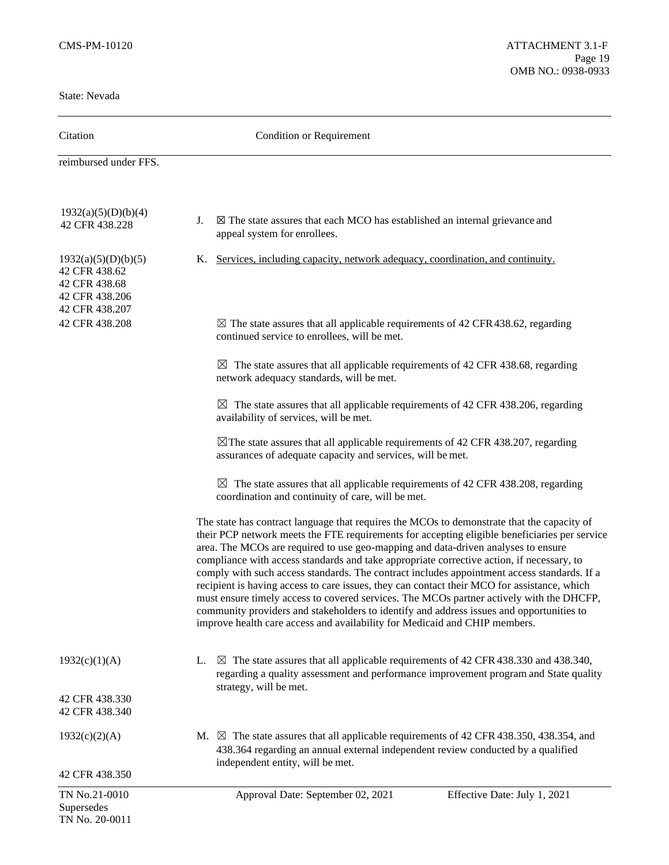| Citation                                                                                  | <b>Condition or Requirement</b>                                                                                                                                                                                                                                                                                                                                                                                                                                                                                                                                                                                                                                                                                                                                                                                                                   |  |  |
|-------------------------------------------------------------------------------------------|---------------------------------------------------------------------------------------------------------------------------------------------------------------------------------------------------------------------------------------------------------------------------------------------------------------------------------------------------------------------------------------------------------------------------------------------------------------------------------------------------------------------------------------------------------------------------------------------------------------------------------------------------------------------------------------------------------------------------------------------------------------------------------------------------------------------------------------------------|--|--|
| reimbursed under FFS.                                                                     |                                                                                                                                                                                                                                                                                                                                                                                                                                                                                                                                                                                                                                                                                                                                                                                                                                                   |  |  |
| 1932(a)(5)(D)(b)(4)<br>42 CFR 438.228                                                     | $\boxtimes$ The state assures that each MCO has established an internal grievance and<br>J.<br>appeal system for enrollees.                                                                                                                                                                                                                                                                                                                                                                                                                                                                                                                                                                                                                                                                                                                       |  |  |
| 1932(a)(5)(D)(b)(5)<br>42 CFR 438.62<br>42 CFR 438.68<br>42 CFR 438.206<br>42 CFR 438.207 | K. Services, including capacity, network adequacy, coordination, and continuity.                                                                                                                                                                                                                                                                                                                                                                                                                                                                                                                                                                                                                                                                                                                                                                  |  |  |
| 42 CFR 438.208                                                                            | $\boxtimes$ The state assures that all applicable requirements of 42 CFR 438.62, regarding<br>continued service to enrollees, will be met.                                                                                                                                                                                                                                                                                                                                                                                                                                                                                                                                                                                                                                                                                                        |  |  |
|                                                                                           | $\boxtimes$ The state assures that all applicable requirements of 42 CFR 438.68, regarding<br>network adequacy standards, will be met.                                                                                                                                                                                                                                                                                                                                                                                                                                                                                                                                                                                                                                                                                                            |  |  |
|                                                                                           | $\boxtimes$ The state assures that all applicable requirements of 42 CFR 438.206, regarding<br>availability of services, will be met.                                                                                                                                                                                                                                                                                                                                                                                                                                                                                                                                                                                                                                                                                                             |  |  |
|                                                                                           | $\boxtimes$ The state assures that all applicable requirements of 42 CFR 438.207, regarding<br>assurances of adequate capacity and services, will be met.                                                                                                                                                                                                                                                                                                                                                                                                                                                                                                                                                                                                                                                                                         |  |  |
|                                                                                           | $\boxtimes$ The state assures that all applicable requirements of 42 CFR 438.208, regarding<br>coordination and continuity of care, will be met.                                                                                                                                                                                                                                                                                                                                                                                                                                                                                                                                                                                                                                                                                                  |  |  |
|                                                                                           | The state has contract language that requires the MCOs to demonstrate that the capacity of<br>their PCP network meets the FTE requirements for accepting eligible beneficiaries per service<br>area. The MCOs are required to use geo-mapping and data-driven analyses to ensure<br>compliance with access standards and take appropriate corrective action, if necessary, to<br>comply with such access standards. The contract includes appointment access standards. If a<br>recipient is having access to care issues, they can contact their MCO for assistance, which<br>must ensure timely access to covered services. The MCOs partner actively with the DHCFP,<br>community providers and stakeholders to identify and address issues and opportunities to<br>improve health care access and availability for Medicaid and CHIP members. |  |  |
| 1932(c)(1)(A)                                                                             | $\boxtimes$ The state assures that all applicable requirements of 42 CFR 438.330 and 438.340,<br>L.<br>regarding a quality assessment and performance improvement program and State quality                                                                                                                                                                                                                                                                                                                                                                                                                                                                                                                                                                                                                                                       |  |  |
| 42 CFR 438.330<br>42 CFR 438.340                                                          | strategy, will be met.                                                                                                                                                                                                                                                                                                                                                                                                                                                                                                                                                                                                                                                                                                                                                                                                                            |  |  |
| 1932(c)(2)(A)                                                                             | M. $\boxtimes$ The state assures that all applicable requirements of 42 CFR 438.350, 438.354, and<br>438.364 regarding an annual external independent review conducted by a qualified<br>independent entity, will be met.                                                                                                                                                                                                                                                                                                                                                                                                                                                                                                                                                                                                                         |  |  |
| 42 CFR 438.350                                                                            |                                                                                                                                                                                                                                                                                                                                                                                                                                                                                                                                                                                                                                                                                                                                                                                                                                                   |  |  |
| TN No.21-0010<br>Supersedes<br>TN No. 20-0011                                             | Approval Date: September 02, 2021<br>Effective Date: July 1, 2021                                                                                                                                                                                                                                                                                                                                                                                                                                                                                                                                                                                                                                                                                                                                                                                 |  |  |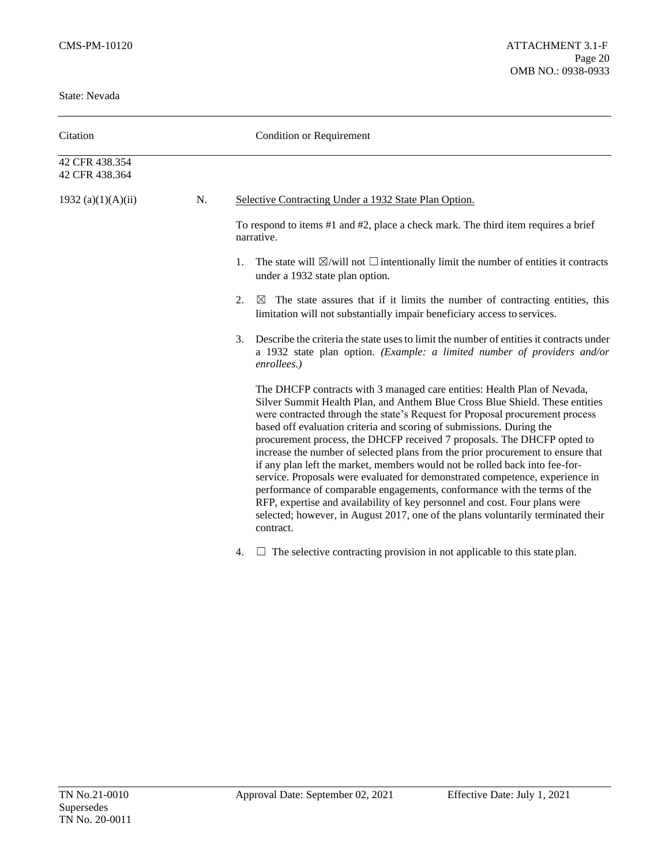| Citation                         |    | <b>Condition or Requirement</b>                                                                                                                                                                                                                                                                                                                                                                                                                                                                                                                                                                                                                                                                                                                                                                                                                                                                          |  |
|----------------------------------|----|----------------------------------------------------------------------------------------------------------------------------------------------------------------------------------------------------------------------------------------------------------------------------------------------------------------------------------------------------------------------------------------------------------------------------------------------------------------------------------------------------------------------------------------------------------------------------------------------------------------------------------------------------------------------------------------------------------------------------------------------------------------------------------------------------------------------------------------------------------------------------------------------------------|--|
| 42 CFR 438.354<br>42 CFR 438.364 |    |                                                                                                                                                                                                                                                                                                                                                                                                                                                                                                                                                                                                                                                                                                                                                                                                                                                                                                          |  |
| 1932 (a) $(1)(A)(ii)$            | N. | Selective Contracting Under a 1932 State Plan Option.                                                                                                                                                                                                                                                                                                                                                                                                                                                                                                                                                                                                                                                                                                                                                                                                                                                    |  |
|                                  |    | To respond to items #1 and #2, place a check mark. The third item requires a brief<br>narrative.                                                                                                                                                                                                                                                                                                                                                                                                                                                                                                                                                                                                                                                                                                                                                                                                         |  |
|                                  |    | The state will $\boxtimes$ /will not $\Box$ intentionally limit the number of entities it contracts<br>1.<br>under a 1932 state plan option.                                                                                                                                                                                                                                                                                                                                                                                                                                                                                                                                                                                                                                                                                                                                                             |  |
|                                  |    | 2.<br>The state assures that if it limits the number of contracting entities, this<br>$\boxtimes$<br>limitation will not substantially impair beneficiary access to services.                                                                                                                                                                                                                                                                                                                                                                                                                                                                                                                                                                                                                                                                                                                            |  |
|                                  |    | 3.<br>Describe the criteria the state uses to limit the number of entities it contracts under<br>a 1932 state plan option. (Example: a limited number of providers and/or<br>enrollees.)                                                                                                                                                                                                                                                                                                                                                                                                                                                                                                                                                                                                                                                                                                                 |  |
|                                  |    | The DHCFP contracts with 3 managed care entities: Health Plan of Nevada,<br>Silver Summit Health Plan, and Anthem Blue Cross Blue Shield. These entities<br>were contracted through the state's Request for Proposal procurement process<br>based off evaluation criteria and scoring of submissions. During the<br>procurement process, the DHCFP received 7 proposals. The DHCFP opted to<br>increase the number of selected plans from the prior procurement to ensure that<br>if any plan left the market, members would not be rolled back into fee-for-<br>service. Proposals were evaluated for demonstrated competence, experience in<br>performance of comparable engagements, conformance with the terms of the<br>RFP, expertise and availability of key personnel and cost. Four plans were<br>selected; however, in August 2017, one of the plans voluntarily terminated their<br>contract. |  |

4.  $\Box$  The selective contracting provision in not applicable to this state plan.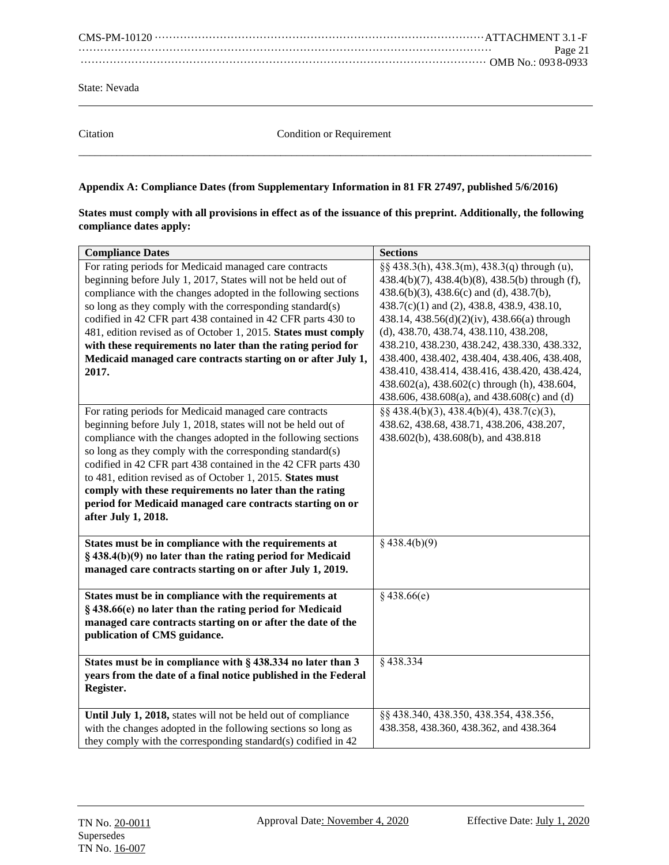CMS-PM-10120 ···························································································ATTACHMENT 3.1 -F ·················································································································· Page 21 ················································································································ OMB No.: 093 8-0933

State: Nevada

Citation Condition or Requirement  $\overline{a_1}$  ,  $\overline{a_2}$  ,  $\overline{a_3}$  ,  $\overline{a_4}$  ,  $\overline{a_5}$  ,  $\overline{a_6}$  ,  $\overline{a_7}$  ,  $\overline{a_8}$  ,  $\overline{a_9}$  ,  $\overline{a_9}$  ,  $\overline{a_9}$  ,  $\overline{a_9}$  ,  $\overline{a_9}$  ,  $\overline{a_9}$  ,  $\overline{a_9}$  ,  $\overline{a_9}$  ,  $\overline{a_9}$  ,

# **Appendix A: Compliance Dates (from Supplementary Information in 81 FR 27497, published 5/6/2016)**

| States must comply with all provisions in effect as of the issuance of this preprint. Additionally, the following |  |
|-------------------------------------------------------------------------------------------------------------------|--|
| compliance dates apply:                                                                                           |  |

| <b>Compliance Dates</b>                                        | <b>Sections</b>                                 |
|----------------------------------------------------------------|-------------------------------------------------|
| For rating periods for Medicaid managed care contracts         | §§ 438.3(h), 438.3(m), 438.3(q) through (u),    |
| beginning before July 1, 2017, States will not be held out of  | 438.4(b)(7), 438.4(b)(8), 438.5(b) through (f), |
| compliance with the changes adopted in the following sections  | 438.6(b)(3), 438.6(c) and (d), 438.7(b),        |
| so long as they comply with the corresponding standard(s)      | 438.7(c)(1) and (2), 438.8, 438.9, 438.10,      |
| codified in 42 CFR part 438 contained in 42 CFR parts 430 to   | 438.14, 438.56(d)(2)(iv), 438.66(a) through     |
| 481, edition revised as of October 1, 2015. States must comply | (d), 438.70, 438.74, 438.110, 438.208,          |
| with these requirements no later than the rating period for    | 438.210, 438.230, 438.242, 438.330, 438.332,    |
| Medicaid managed care contracts starting on or after July 1,   | 438.400, 438.402, 438.404, 438.406, 438.408,    |
| 2017.                                                          | 438.410, 438.414, 438.416, 438.420, 438.424,    |
|                                                                | 438.602(a), 438.602(c) through (h), 438.604,    |
|                                                                | 438.606, 438.608(a), and 438.608(c) and (d)     |
| For rating periods for Medicaid managed care contracts         | $\S$ § 438.4(b)(3), 438.4(b)(4), 438.7(c)(3),   |
| beginning before July 1, 2018, states will not be held out of  | 438.62, 438.68, 438.71, 438.206, 438.207,       |
| compliance with the changes adopted in the following sections  | 438.602(b), 438.608(b), and 438.818             |
| so long as they comply with the corresponding standard(s)      |                                                 |
| codified in 42 CFR part 438 contained in the 42 CFR parts 430  |                                                 |
| to 481, edition revised as of October 1, 2015. States must     |                                                 |
| comply with these requirements no later than the rating        |                                                 |
| period for Medicaid managed care contracts starting on or      |                                                 |
| after July 1, 2018.                                            |                                                 |
|                                                                |                                                 |
| States must be in compliance with the requirements at          | $§$ 438.4(b)(9)                                 |
| $\S$ 438.4(b)(9) no later than the rating period for Medicaid  |                                                 |
| managed care contracts starting on or after July 1, 2019.      |                                                 |
|                                                                |                                                 |
| States must be in compliance with the requirements at          | $§$ 438.66(e)                                   |
| § 438.66(e) no later than the rating period for Medicaid       |                                                 |
| managed care contracts starting on or after the date of the    |                                                 |
| publication of CMS guidance.                                   |                                                 |
| States must be in compliance with § 438.334 no later than 3    | §438.334                                        |
| years from the date of a final notice published in the Federal |                                                 |
| Register.                                                      |                                                 |
|                                                                |                                                 |
| Until July 1, 2018, states will not be held out of compliance  | §§ 438.340, 438.350, 438.354, 438.356,          |
| with the changes adopted in the following sections so long as  | 438.358, 438.360, 438.362, and 438.364          |
| they comply with the corresponding standard(s) codified in 42  |                                                 |